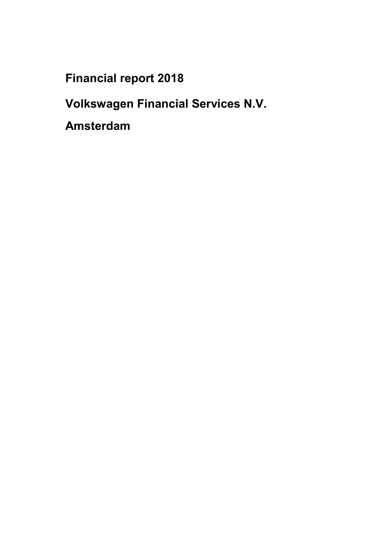**Financial report 2018**

**Volkswagen Financial Services N.V.**

**Amsterdam**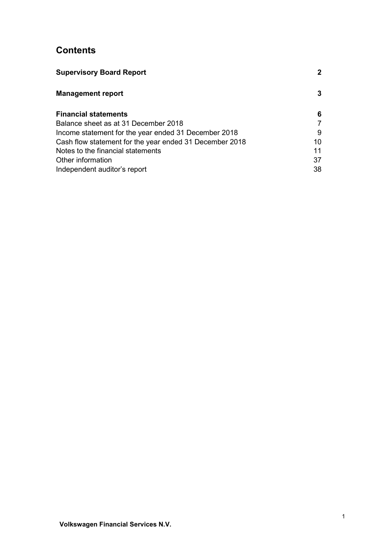# **Contents**

| <b>Supervisory Board Report</b>                         | $\mathbf{2}$ |
|---------------------------------------------------------|--------------|
| <b>Management report</b>                                | 3            |
| <b>Financial statements</b>                             | 6            |
| Balance sheet as at 31 December 2018                    |              |
| Income statement for the year ended 31 December 2018    | 9            |
| Cash flow statement for the year ended 31 December 2018 | 10           |
| Notes to the financial statements                       | 11           |
| Other information                                       | 37           |
| Independent auditor's report                            | 38           |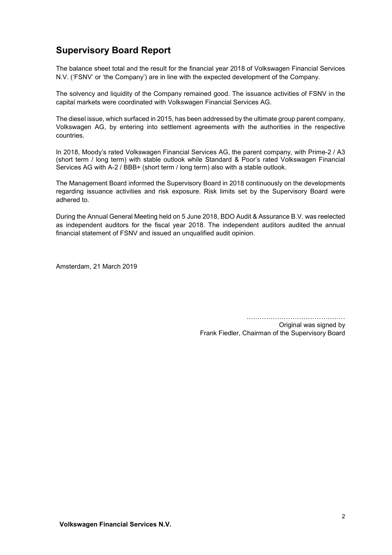# <span id="page-2-0"></span>**Supervisory Board Report**

The balance sheet total and the result for the financial year 2018 of Volkswagen Financial Services N.V. ('FSNV' or 'the Company') are in line with the expected development of the Company.

The solvency and liquidity of the Company remained good. The issuance activities of FSNV in the capital markets were coordinated with Volkswagen Financial Services AG.

The diesel issue, which surfaced in 2015, has been addressed by the ultimate group parent company, Volkswagen AG, by entering into settlement agreements with the authorities in the respective countries.

In 2018, Moody's rated Volkswagen Financial Services AG, the parent company, with Prime-2 / A3 (short term / long term) with stable outlook while Standard & Poor's rated Volkswagen Financial Services AG with A-2 / BBB+ (short term / long term) also with a stable outlook.

The Management Board informed the Supervisory Board in 2018 continuously on the developments regarding issuance activities and risk exposure. Risk limits set by the Supervisory Board were adhered to.

During the Annual General Meeting held on 5 June 2018, BDO Audit & Assurance B.V. was reelected as independent auditors for the fiscal year 2018. The independent auditors audited the annual financial statement of FSNV and issued an unqualified audit opinion.

Amsterdam, 21 March 2019

………………………………………

Original was signed by Frank Fiedler, Chairman of the Supervisory Board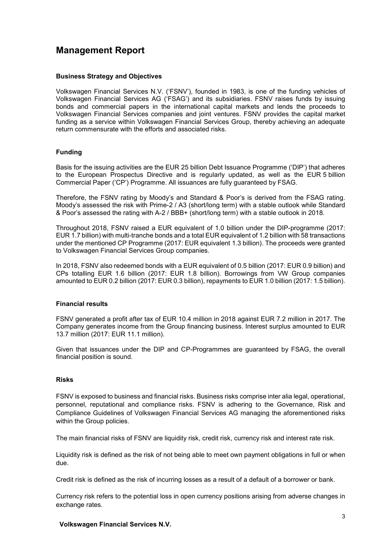# <span id="page-3-0"></span>**Management Report**

#### **Business Strategy and Objectives**

Volkswagen Financial Services N.V. ('FSNV'), founded in 1983, is one of the funding vehicles of Volkswagen Financial Services AG ('FSAG') and its subsidiaries. FSNV raises funds by issuing bonds and commercial papers in the international capital markets and lends the proceeds to Volkswagen Financial Services companies and joint ventures. FSNV provides the capital market funding as a service within Volkswagen Financial Services Group, thereby achieving an adequate return commensurate with the efforts and associated risks.

#### **Funding**

Basis for the issuing activities are the EUR 25 billion Debt Issuance Programme ('DIP') that adheres to the European Prospectus Directive and is regularly updated, as well as the EUR 5 billion Commercial Paper ('CP') Programme. All issuances are fully guaranteed by FSAG.

Therefore, the FSNV rating by Moody's and Standard & Poor's is derived from the FSAG rating. Moody's assessed the risk with Prime-2 / A3 (short/long term) with a stable outlook while Standard & Poor's assessed the rating with A-2 / BBB+ (short/long term) with a stable outlook in 2018.

Throughout 2018, FSNV raised a EUR equivalent of 1.0 billion under the DIP-programme (2017: EUR 1.7 billion) with multi-tranche bonds and a total EUR equivalent of 1.2 billion with 58 transactions under the mentioned CP Programme (2017: EUR equivalent 1.3 billion). The proceeds were granted to Volkswagen Financial Services Group companies.

In 2018, FSNV also redeemed bonds with a EUR equivalent of 0.5 billion (2017: EUR 0.9 billion) and CPs totalling EUR 1.6 billion (2017: EUR 1.8 billion). Borrowings from VW Group companies amounted to EUR 0.2 billion (2017: EUR 0.3 billion), repayments to EUR 1.0 billion (2017: 1.5 billion).

#### **Financial results**

FSNV generated a profit after tax of EUR 10.4 million in 2018 against EUR 7.2 million in 2017. The Company generates income from the Group financing business. Interest surplus amounted to EUR 13.7 million (2017: EUR 11.1 million).

Given that issuances under the DIP and CP-Programmes are guaranteed by FSAG, the overall financial position is sound.

#### **Risks**

FSNV is exposed to business and financial risks. Business risks comprise inter alia legal, operational, personnel, reputational and compliance risks. FSNV is adhering to the Governance, Risk and Compliance Guidelines of Volkswagen Financial Services AG managing the aforementioned risks within the Group policies.

The main financial risks of FSNV are liquidity risk, credit risk, currency risk and interest rate risk.

Liquidity risk is defined as the risk of not being able to meet own payment obligations in full or when due.

Credit risk is defined as the risk of incurring losses as a result of a default of a borrower or bank.

Currency risk refers to the potential loss in open currency positions arising from adverse changes in exchange rates.

#### **Volkswagen Financial Services N.V.**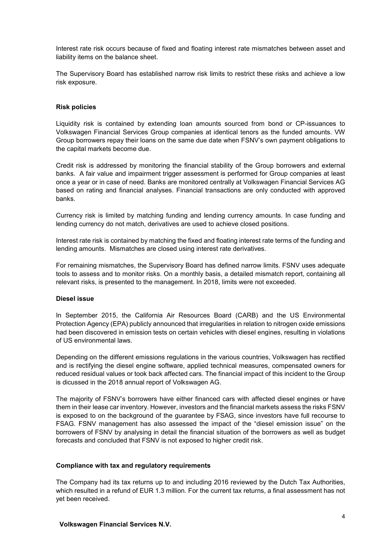Interest rate risk occurs because of fixed and floating interest rate mismatches between asset and liability items on the balance sheet.

The Supervisory Board has established narrow risk limits to restrict these risks and achieve a low risk exposure.

#### **Risk policies**

Liquidity risk is contained by extending loan amounts sourced from bond or CP-issuances to Volkswagen Financial Services Group companies at identical tenors as the funded amounts. VW Group borrowers repay their loans on the same due date when FSNV's own payment obligations to the capital markets become due.

Credit risk is addressed by monitoring the financial stability of the Group borrowers and external banks. A fair value and impairment trigger assessment is performed for Group companies at least once a year or in case of need. Banks are monitored centrally at Volkswagen Financial Services AG based on rating and financial analyses. Financial transactions are only conducted with approved banks.

Currency risk is limited by matching funding and lending currency amounts. In case funding and lending currency do not match, derivatives are used to achieve closed positions.

Interest rate risk is contained by matching the fixed and floating interest rate terms of the funding and lending amounts. Mismatches are closed using interest rate derivatives.

For remaining mismatches, the Supervisory Board has defined narrow limits. FSNV uses adequate tools to assess and to monitor risks. On a monthly basis, a detailed mismatch report, containing all relevant risks, is presented to the management. In 2018, limits were not exceeded.

#### **Diesel issue**

In September 2015, the California Air Resources Board (CARB) and the US Environmental Protection Agency (EPA) publicly announced that irregularities in relation to nitrogen oxide emissions had been discovered in emission tests on certain vehicles with diesel engines, resulting in violations of US environmental laws.

Depending on the different emissions regulations in the various countries, Volkswagen has rectified and is rectifying the diesel engine software, applied technical measures, compensated owners for reduced residual values or took back affected cars. The financial impact of this incident to the Group is dicussed in the 2018 annual report of Volkswagen AG.

The majority of FSNV's borrowers have either financed cars with affected diesel engines or have them in their lease car inventory. However, investors and the financial markets assess the risks FSNV is exposed to on the background of the guarantee by FSAG, since investors have full recourse to FSAG. FSNV management has also assessed the impact of the "diesel emission issue" on the borrowers of FSNV by analysing in detail the financial situation of the borrowers as well as budget forecasts and concluded that FSNV is not exposed to higher credit risk.

#### **Compliance with tax and regulatory requirements**

The Company had its tax returns up to and including 2016 reviewed by the Dutch Tax Authorities, which resulted in a refund of EUR 1.3 million. For the current tax returns, a final assessment has not yet been received.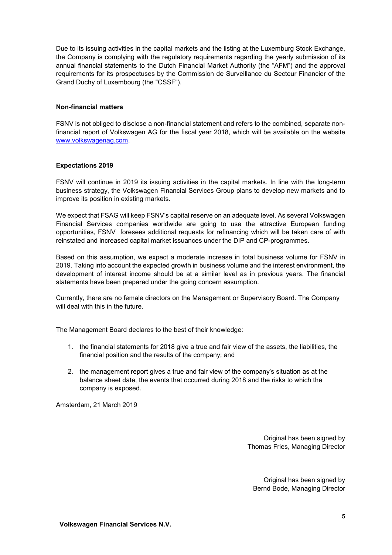Due to its issuing activities in the capital markets and the listing at the Luxemburg Stock Exchange, the Company is complying with the regulatory requirements regarding the yearly submission of its annual financial statements to the Dutch Financial Market Authority (the "AFM") and the approval requirements for its prospectuses by the Commission de Surveillance du Secteur Financier of the Grand Duchy of Luxembourg (the "CSSF").

### **Non-financial matters**

FSNV is not obliged to disclose a non-financial statement and refers to the combined, separate nonfinancial report of Volkswagen AG for the fiscal year 2018, which will be available on the website [www.volkswagenag.com.](http://www.volkswagenag.com/)

#### **Expectations 2019**

FSNV will continue in 2019 its issuing activities in the capital markets. In line with the long-term business strategy, the Volkswagen Financial Services Group plans to develop new markets and to improve its position in existing markets.

We expect that FSAG will keep FSNV's capital reserve on an adequate level. As several Volkswagen Financial Services companies worldwide are going to use the attractive European funding opportunities, FSNV foresees additional requests for refinancing which will be taken care of with reinstated and increased capital market issuances under the DIP and CP-programmes.

Based on this assumption, we expect a moderate increase in total business volume for FSNV in 2019. Taking into account the expected growth in business volume and the interest environment, the development of interest income should be at a similar level as in previous years. The financial statements have been prepared under the going concern assumption.

Currently, there are no female directors on the Management or Supervisory Board. The Company will deal with this in the future.

The Management Board declares to the best of their knowledge:

- 1. the financial statements for 2018 give a true and fair view of the assets, the liabilities, the financial position and the results of the company; and
- 2. the management report gives a true and fair view of the company's situation as at the balance sheet date, the events that occurred during 2018 and the risks to which the company is exposed.

Amsterdam, 21 March 2019

Original has been signed by Thomas Fries, Managing Director

Original has been signed by Bernd Bode, Managing Director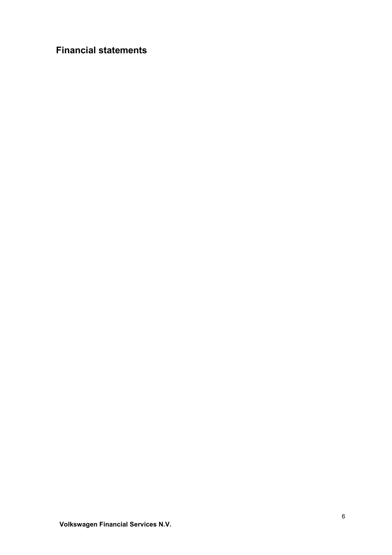# <span id="page-6-0"></span>**Financial statements**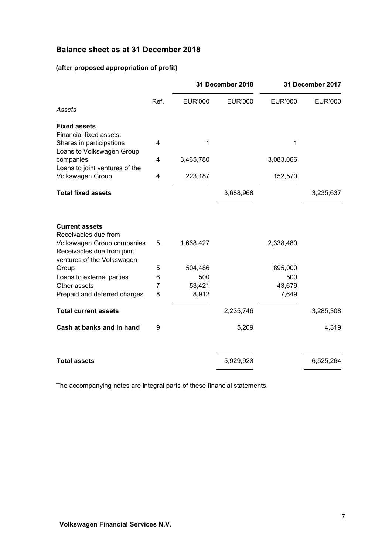# <span id="page-7-0"></span>**Balance sheet as at 31 December 2018**

# **(after proposed appropriation of profit)**

|                                                                             |                |                | 31 December 2018 |                | 31 December 2017 |  |
|-----------------------------------------------------------------------------|----------------|----------------|------------------|----------------|------------------|--|
| Assets                                                                      | Ref.           | <b>EUR'000</b> | <b>EUR'000</b>   | <b>EUR'000</b> | <b>EUR'000</b>   |  |
|                                                                             |                |                |                  |                |                  |  |
| <b>Fixed assets</b><br>Financial fixed assets:<br>Shares in participations  | 4              | 1              |                  | 1              |                  |  |
| Loans to Volkswagen Group<br>companies                                      | 4              | 3,465,780      |                  | 3,083,066      |                  |  |
| Loans to joint ventures of the                                              |                |                |                  |                |                  |  |
| Volkswagen Group                                                            | 4              | 223,187        |                  | 152,570        |                  |  |
| <b>Total fixed assets</b>                                                   |                |                | 3,688,968        |                | 3,235,637        |  |
| <b>Current assets</b><br>Receivables due from<br>Volkswagen Group companies | 5              | 1,668,427      |                  | 2,338,480      |                  |  |
| Receivables due from joint<br>ventures of the Volkswagen                    |                |                |                  |                |                  |  |
| Group                                                                       | 5              | 504,486        |                  | 895,000        |                  |  |
| Loans to external parties                                                   | 6              | 500            |                  | 500            |                  |  |
| Other assets                                                                | $\overline{7}$ | 53,421         |                  | 43,679         |                  |  |
| Prepaid and deferred charges                                                | 8              | 8,912          |                  | 7,649          |                  |  |
| <b>Total current assets</b>                                                 |                |                | 2,235,746        |                | 3,285,308        |  |
| Cash at banks and in hand                                                   | 9              |                | 5,209            |                | 4,319            |  |
| <b>Total assets</b>                                                         |                |                | 5,929,923        |                | 6,525,264        |  |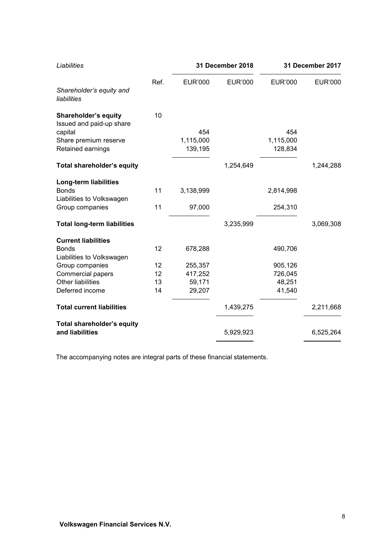| Liabilities                                             | 31 December 2018 |                | 31 December 2017 |                |                |
|---------------------------------------------------------|------------------|----------------|------------------|----------------|----------------|
|                                                         | Ref.             | <b>EUR'000</b> | <b>EUR'000</b>   | <b>EUR'000</b> | <b>EUR'000</b> |
| Shareholder's equity and<br>liabilities                 |                  |                |                  |                |                |
| <b>Shareholder's equity</b><br>Issued and paid-up share | 10               |                |                  |                |                |
| capital                                                 |                  | 454            |                  | 454            |                |
| Share premium reserve                                   |                  | 1,115,000      |                  | 1,115,000      |                |
| Retained earnings                                       |                  | 139,195        |                  | 128,834        |                |
| Total shareholder's equity                              |                  |                | 1,254,649        |                | 1,244,288      |
| Long-term liabilities                                   |                  |                |                  |                |                |
| <b>Bonds</b>                                            | 11               | 3,138,999      |                  | 2,814,998      |                |
| Liabilities to Volkswagen                               |                  |                |                  |                |                |
| Group companies                                         | 11               | 97,000         |                  | 254,310        |                |
| <b>Total long-term liabilities</b>                      |                  |                | 3,235,999        |                | 3,069,308      |
| <b>Current liabilities</b>                              |                  |                |                  |                |                |
| <b>Bonds</b>                                            | 12               | 678,288        |                  | 490,706        |                |
| Liabilities to Volkswagen                               |                  |                |                  |                |                |
| Group companies                                         | 12               | 255,357        |                  | 905,126        |                |
| <b>Commercial papers</b>                                | 12               | 417,252        |                  | 726,045        |                |
| <b>Other liabilities</b>                                | 13               | 59,171         |                  | 48,251         |                |
| Deferred income                                         | 14               | 29,207         |                  | 41,540         |                |
| <b>Total current liabilities</b>                        |                  |                | 1,439,275        |                | 2,211,668      |
| <b>Total shareholder's equity</b>                       |                  |                |                  |                |                |
| and liabilities                                         |                  |                | 5,929,923        |                | 6,525,264      |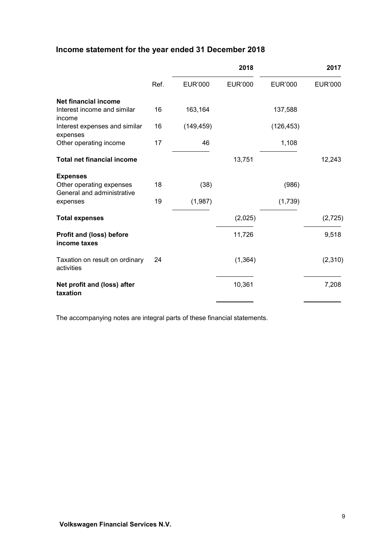# <span id="page-9-0"></span>**Income statement for the year ended 31 December 2018**

|                                                        |      |                | 2018           |                | 2017           |
|--------------------------------------------------------|------|----------------|----------------|----------------|----------------|
|                                                        | Ref. | <b>EUR'000</b> | <b>EUR'000</b> | <b>EUR'000</b> | <b>EUR'000</b> |
| <b>Net financial income</b>                            |      |                |                |                |                |
| Interest income and similar<br>income                  | 16   | 163,164        |                | 137,588        |                |
| Interest expenses and similar<br>expenses              | 16   | (149, 459)     |                | (126, 453)     |                |
| Other operating income                                 | 17   | 46             |                | 1,108          |                |
| <b>Total net financial income</b>                      |      |                | 13,751         |                | 12,243         |
| <b>Expenses</b>                                        |      |                |                |                |                |
| Other operating expenses<br>General and administrative | 18   | (38)           |                | (986)          |                |
| expenses                                               | 19   | (1,987)        |                | (1,739)        |                |
| <b>Total expenses</b>                                  |      |                | (2,025)        |                | (2, 725)       |
| <b>Profit and (loss) before</b><br>income taxes        |      |                | 11,726         |                | 9,518          |
| Taxation on result on ordinary<br>activities           | 24   |                | (1, 364)       |                | (2,310)        |
| Net profit and (loss) after<br>taxation                |      |                | 10,361         |                | 7,208          |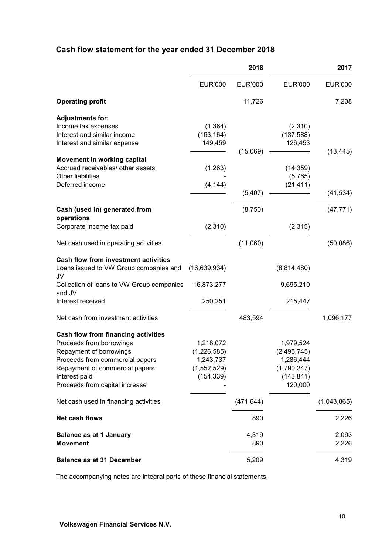# <span id="page-10-0"></span>**Cash flow statement for the year ended 31 December 2018**

|                                                                                                                                                                                                                           | 2018                                                               |                | 2017                                                                            |                |
|---------------------------------------------------------------------------------------------------------------------------------------------------------------------------------------------------------------------------|--------------------------------------------------------------------|----------------|---------------------------------------------------------------------------------|----------------|
|                                                                                                                                                                                                                           | <b>EUR'000</b>                                                     | <b>EUR'000</b> | <b>EUR'000</b>                                                                  | <b>EUR'000</b> |
| <b>Operating profit</b>                                                                                                                                                                                                   |                                                                    | 11,726         |                                                                                 | 7,208          |
| <b>Adjustments for:</b><br>Income tax expenses<br>Interest and similar income<br>Interest and similar expense                                                                                                             | (1, 364)<br>(163, 164)<br>149,459                                  | (15,069)       | (2,310)<br>(137, 588)<br>126,453                                                | (13, 445)      |
| Movement in working capital<br>Accrued receivables/ other assets<br>Other liabilities<br>Deferred income                                                                                                                  | (1,263)<br>(4, 144)                                                | (5, 407)       | (14, 359)<br>(5,765)<br>(21, 411)                                               | (41, 534)      |
|                                                                                                                                                                                                                           |                                                                    |                |                                                                                 |                |
| Cash (used in) generated from<br>operations                                                                                                                                                                               |                                                                    | (8,750)        |                                                                                 | (47, 771)      |
| Corporate income tax paid                                                                                                                                                                                                 | (2,310)                                                            |                | (2,315)                                                                         |                |
| Net cash used in operating activities                                                                                                                                                                                     |                                                                    | (11,060)       |                                                                                 | (50,086)       |
| <b>Cash flow from investment activities</b><br>Loans issued to VW Group companies and<br>JV                                                                                                                               | (16, 639, 934)                                                     |                | (8,814,480)                                                                     |                |
| Collection of loans to VW Group companies<br>and JV                                                                                                                                                                       | 16,873,277                                                         |                | 9,695,210                                                                       |                |
| Interest received                                                                                                                                                                                                         | 250,251                                                            |                | 215,447                                                                         |                |
| Net cash from investment activities                                                                                                                                                                                       |                                                                    | 483,594        |                                                                                 | 1,096,177      |
| <b>Cash flow from financing activities</b><br>Proceeds from borrowings<br>Repayment of borrowings<br>Proceeds from commercial papers<br>Repayment of commercial papers<br>Interest paid<br>Proceeds from capital increase | 1,218,072<br>(1,226,585)<br>1,243,737<br>(1,552,529)<br>(154, 339) |                | 1,979,524<br>(2, 495, 745)<br>1,286,444<br>(1,790,247)<br>(143, 841)<br>120,000 |                |
| Net cash used in financing activities                                                                                                                                                                                     |                                                                    | (471, 644)     |                                                                                 | (1,043,865)    |
| Net cash flows                                                                                                                                                                                                            |                                                                    | 890            |                                                                                 | 2,226          |
| <b>Balance as at 1 January</b><br><b>Movement</b>                                                                                                                                                                         |                                                                    | 4,319<br>890   |                                                                                 | 2,093<br>2,226 |
| <b>Balance as at 31 December</b>                                                                                                                                                                                          |                                                                    | 5,209          |                                                                                 | 4,319          |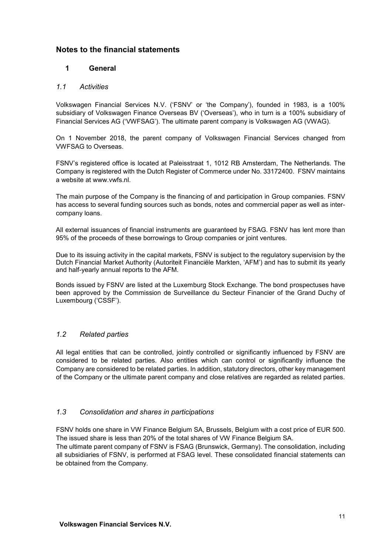# <span id="page-11-0"></span>**Notes to the financial statements**

# **1 General**

# *1.1 Activities*

Volkswagen Financial Services N.V. ('FSNV' or 'the Company'), founded in 1983, is a 100% subsidiary of Volkswagen Finance Overseas BV ('Overseas'), who in turn is a 100% subsidiary of Financial Services AG ('VWFSAG'). The ultimate parent company is Volkswagen AG (VWAG).

On 1 November 2018, the parent company of Volkswagen Financial Services changed from VWFSAG to Overseas.

FSNV's registered office is located at Paleisstraat 1, 1012 RB Amsterdam, The Netherlands. The Company is registered with the Dutch Register of Commerce under No. 33172400. FSNV maintains a website at www.vwfs.nl.

The main purpose of the Company is the financing of and participation in Group companies. FSNV has access to several funding sources such as bonds, notes and commercial paper as well as intercompany loans.

All external issuances of financial instruments are guaranteed by FSAG. FSNV has lent more than 95% of the proceeds of these borrowings to Group companies or joint ventures.

Due to its issuing activity in the capital markets, FSNV is subject to the regulatory supervision by the Dutch Financial Market Authority (Autoriteit Financiële Markten, 'AFM') and has to submit its yearly and half-yearly annual reports to the AFM.

Bonds issued by FSNV are listed at the Luxemburg Stock Exchange. The bond prospectuses have been approved by the Commission de Surveillance du Secteur Financier of the Grand Duchy of Luxembourg ('CSSF').

# *1.2 Related parties*

All legal entities that can be controlled, jointly controlled or significantly influenced by FSNV are considered to be related parties. Also entities which can control or significantly influence the Company are considered to be related parties. In addition, statutory directors, other key management of the Company or the ultimate parent company and close relatives are regarded as related parties.

# *1.3 Consolidation and shares in participations*

FSNV holds one share in VW Finance Belgium SA, Brussels, Belgium with a cost price of EUR 500. The issued share is less than 20% of the total shares of VW Finance Belgium SA.

The ultimate parent company of FSNV is FSAG (Brunswick, Germany). The consolidation, including all subsidiaries of FSNV, is performed at FSAG level. These consolidated financial statements can be obtained from the Company.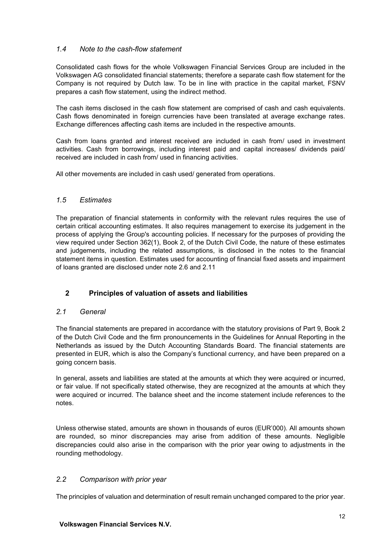# *1.4 Note to the cash-flow statement*

Consolidated cash flows for the whole Volkswagen Financial Services Group are included in the Volkswagen AG consolidated financial statements; therefore a separate cash flow statement for the Company is not required by Dutch law. To be in line with practice in the capital market, FSNV prepares a cash flow statement, using the indirect method.

The cash items disclosed in the cash flow statement are comprised of cash and cash equivalents. Cash flows denominated in foreign currencies have been translated at average exchange rates. Exchange differences affecting cash items are included in the respective amounts.

Cash from loans granted and interest received are included in cash from/ used in investment activities. Cash from borrowings, including interest paid and capital increases/ dividends paid/ received are included in cash from/ used in financing activities.

All other movements are included in cash used/ generated from operations.

# *1.5 Estimates*

The preparation of financial statements in conformity with the relevant rules requires the use of certain critical accounting estimates. It also requires management to exercise its judgement in the process of applying the Group's accounting policies. If necessary for the purposes of providing the view required under Section 362(1), Book 2, of the Dutch Civil Code, the nature of these estimates and judgements, including the related assumptions, is disclosed in the notes to the financial statement items in question. Estimates used for accounting of financial fixed assets and impairment of loans granted are disclosed under note 2.6 and 2.11

# **2 Principles of valuation of assets and liabilities**

# *2.1 General*

The financial statements are prepared in accordance with the statutory provisions of Part 9, Book 2 of the Dutch Civil Code and the firm pronouncements in the Guidelines for Annual Reporting in the Netherlands as issued by the Dutch Accounting Standards Board. The financial statements are presented in EUR, which is also the Company's functional currency, and have been prepared on a going concern basis.

In general, assets and liabilities are stated at the amounts at which they were acquired or incurred, or fair value. If not specifically stated otherwise, they are recognized at the amounts at which they were acquired or incurred. The balance sheet and the income statement include references to the notes.

Unless otherwise stated, amounts are shown in thousands of euros (EUR'000). All amounts shown are rounded, so minor discrepancies may arise from addition of these amounts. Negligible discrepancies could also arise in the comparison with the prior year owing to adjustments in the rounding methodology.

# *2.2 Comparison with prior year*

The principles of valuation and determination of result remain unchanged compared to the prior year.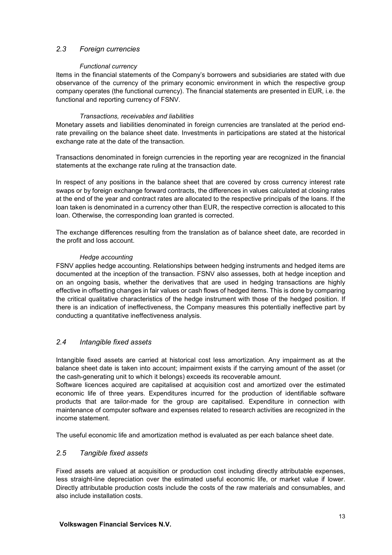# *2.3 Foreign currencies*

## *Functional currency*

Items in the financial statements of the Company's borrowers and subsidiaries are stated with due observance of the currency of the primary economic environment in which the respective group company operates (the functional currency). The financial statements are presented in EUR, i.e. the functional and reporting currency of FSNV.

## *Transactions, receivables and liabilities*

Monetary assets and liabilities denominated in foreign currencies are translated at the period endrate prevailing on the balance sheet date. Investments in participations are stated at the historical exchange rate at the date of the transaction.

Transactions denominated in foreign currencies in the reporting year are recognized in the financial statements at the exchange rate ruling at the transaction date.

In respect of any positions in the balance sheet that are covered by cross currency interest rate swaps or by foreign exchange forward contracts, the differences in values calculated at closing rates at the end of the year and contract rates are allocated to the respective principals of the loans. If the loan taken is denominated in a currency other than EUR, the respective correction is allocated to this loan. Otherwise, the corresponding loan granted is corrected.

The exchange differences resulting from the translation as of balance sheet date, are recorded in the profit and loss account.

## *Hedge accounting*

FSNV applies hedge accounting. Relationships between hedging instruments and hedged items are documented at the inception of the transaction. FSNV also assesses, both at hedge inception and on an ongoing basis, whether the derivatives that are used in hedging transactions are highly effective in offsetting changes in fair values or cash flows of hedged items. This is done by comparing the critical qualitative characteristics of the hedge instrument with those of the hedged position. If there is an indication of ineffectiveness, the Company measures this potentially ineffective part by conducting a quantitative ineffectiveness analysis.

# *2.4 Intangible fixed assets*

Intangible fixed assets are carried at historical cost less amortization. Any impairment as at the balance sheet date is taken into account; impairment exists if the carrying amount of the asset (or the cash-generating unit to which it belongs) exceeds its recoverable amount.

Software licences acquired are capitalised at acquisition cost and amortized over the estimated economic life of three years. Expenditures incurred for the production of identifiable software products that are tailor-made for the group are capitalised. Expenditure in connection with maintenance of computer software and expenses related to research activities are recognized in the income statement.

The useful economic life and amortization method is evaluated as per each balance sheet date.

# *2.5 Tangible fixed assets*

Fixed assets are valued at acquisition or production cost including directly attributable expenses, less straight-line depreciation over the estimated useful economic life, or market value if lower. Directly attributable production costs include the costs of the raw materials and consumables, and also include installation costs.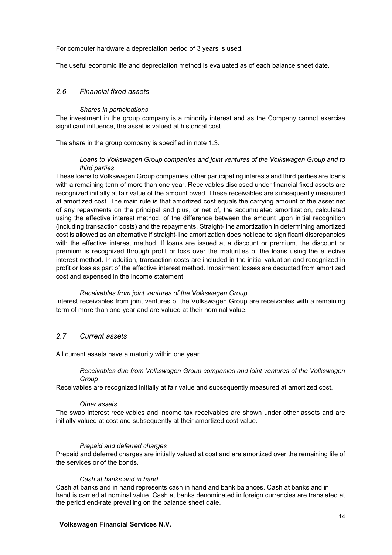For computer hardware a depreciation period of 3 years is used.

The useful economic life and depreciation method is evaluated as of each balance sheet date.

# *2.6 Financial fixed assets*

#### *Shares in participations*

The investment in the group company is a minority interest and as the Company cannot exercise significant influence, the asset is valued at historical cost.

The share in the group company is specified in note 1.3.

### *Loans to Volkswagen Group companies and joint ventures of the Volkswagen Group and to third parties*

These loans to Volkswagen Group companies, other participating interests and third parties are loans with a remaining term of more than one year. Receivables disclosed under financial fixed assets are recognized initially at fair value of the amount owed. These receivables are subsequently measured at amortized cost. The main rule is that amortized cost equals the carrying amount of the asset net of any repayments on the principal and plus, or net of, the accumulated amortization, calculated using the effective interest method, of the difference between the amount upon initial recognition (including transaction costs) and the repayments. Straight-line amortization in determining amortized cost is allowed as an alternative if straight-line amortization does not lead to significant discrepancies with the effective interest method. If loans are issued at a discount or premium, the discount or premium is recognized through profit or loss over the maturities of the loans using the effective interest method. In addition, transaction costs are included in the initial valuation and recognized in profit or loss as part of the effective interest method. Impairment losses are deducted from amortized cost and expensed in the income statement.

## *Receivables from joint ventures of the Volkswagen Group*

Interest receivables from joint ventures of the Volkswagen Group are receivables with a remaining term of more than one year and are valued at their nominal value.

## *2.7 Current assets*

All current assets have a maturity within one year.

#### *Receivables due from Volkswagen Group companies and joint ventures of the Volkswagen Group*

Receivables are recognized initially at fair value and subsequently measured at amortized cost.

#### *Other assets*

The swap interest receivables and income tax receivables are shown under other assets and are initially valued at cost and subsequently at their amortized cost value.

#### *Prepaid and deferred charges*

Prepaid and deferred charges are initially valued at cost and are amortized over the remaining life of the services or of the bonds.

## *Cash at banks and in hand*

Cash at banks and in hand represents cash in hand and bank balances. Cash at banks and in hand is carried at nominal value. Cash at banks denominated in foreign currencies are translated at the period end-rate prevailing on the balance sheet date.

## **Volkswagen Financial Services N.V.**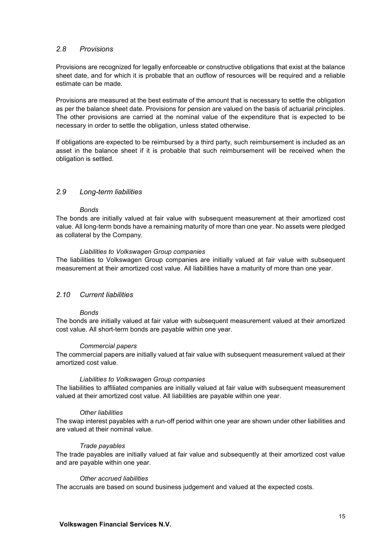## *2.8 Provisions*

Provisions are recognized for legally enforceable or constructive obligations that exist at the balance sheet date, and for which it is probable that an outflow of resources will be required and a reliable estimate can be made.

Provisions are measured at the best estimate of the amount that is necessary to settle the obligation as per the balance sheet date. Provisions for pension are valued on the basis of actuarial principles. The other provisions are carried at the nominal value of the expenditure that is expected to be necessary in order to settle the obligation, unless stated otherwise.

If obligations are expected to be reimbursed by a third party, such reimbursement is included as an asset in the balance sheet if it is probable that such reimbursement will be received when the obligation is settled.

## *2.9 Long-term liabilities*

#### *Bonds*

The bonds are initially valued at fair value with subsequent measurement at their amortized cost value. All long-term bonds have a remaining maturity of more than one year. No assets were pledged as collateral by the Company.

#### *Liabilities to Volkswagen Group companies*

The liabilities to Volkswagen Group companies are initially valued at fair value with subsequent measurement at their amortized cost value. All liabilities have a maturity of more than one year.

## *2.10 Current liabilities*

#### *Bonds*

The bonds are initially valued at fair value with subsequent measurement valued at their amortized cost value. All short-term bonds are payable within one year.

#### *Commercial papers*

The commercial papers are initially valued at fair value with subsequent measurement valued at their amortized cost value.

#### *Liabilities to Volkswagen Group companies*

The liabilities to affiliated companies are initially valued at fair value with subsequent measurement valued at their amortized cost value. All liabilities are payable within one year.

#### *Other liabilities*

The swap interest payables with a run-off period within one year are shown under other liabilities and are valued at their nominal value.

#### *Trade payables*

The trade payables are initially valued at fair value and subsequently at their amortized cost value and are payable within one year.

#### *Other accrued liabilities*

The accruals are based on sound business judgement and valued at the expected costs.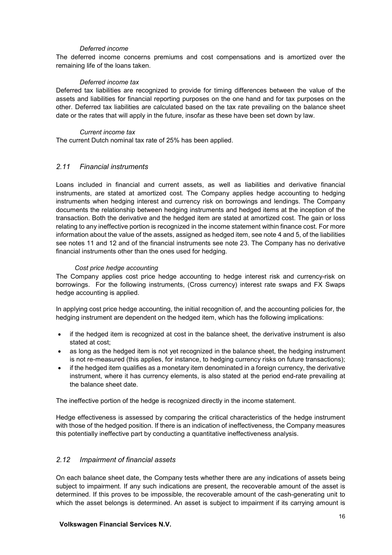#### *Deferred income*

The deferred income concerns premiums and cost compensations and is amortized over the remaining life of the loans taken.

#### *Deferred income tax*

Deferred tax liabilities are recognized to provide for timing differences between the value of the assets and liabilities for financial reporting purposes on the one hand and for tax purposes on the other. Deferred tax liabilities are calculated based on the tax rate prevailing on the balance sheet date or the rates that will apply in the future, insofar as these have been set down by law.

#### *Current income tax*

The current Dutch nominal tax rate of 25% has been applied.

## *2.11 Financial instruments*

Loans included in financial and current assets, as well as liabilities and derivative financial instruments, are stated at amortized cost. The Company applies hedge accounting to hedging instruments when hedging interest and currency risk on borrowings and lendings. The Company documents the relationship between hedging instruments and hedged items at the inception of the transaction. Both the derivative and the hedged item are stated at amortized cost. The gain or loss relating to any ineffective portion is recognized in the income statement within finance cost. For more information about the value of the assets, assigned as hedged item, see note 4 and 5, of the liabilities see notes 11 and 12 and of the financial instruments see note 23. The Company has no derivative financial instruments other than the ones used for hedging.

## *Cost price hedge accounting*

The Company applies cost price hedge accounting to hedge interest risk and currency-risk on borrowings. For the following instruments, (Cross currency) interest rate swaps and FX Swaps hedge accounting is applied.

In applying cost price hedge accounting, the initial recognition of, and the accounting policies for, the hedging instrument are dependent on the hedged item, which has the following implications:

- if the hedged item is recognized at cost in the balance sheet, the derivative instrument is also stated at cost;
- as long as the hedged item is not yet recognized in the balance sheet, the hedging instrument is not re-measured (this applies, for instance, to hedging currency risks on future transactions);
- if the hedged item qualifies as a monetary item denominated in a foreign currency, the derivative instrument, where it has currency elements, is also stated at the period end-rate prevailing at the balance sheet date.

The ineffective portion of the hedge is recognized directly in the income statement.

Hedge effectiveness is assessed by comparing the critical characteristics of the hedge instrument with those of the hedged position. If there is an indication of ineffectiveness, the Company measures this potentially ineffective part by conducting a quantitative ineffectiveness analysis.

## *2.12 Impairment of financial assets*

On each balance sheet date, the Company tests whether there are any indications of assets being subject to impairment. If any such indications are present, the recoverable amount of the asset is determined. If this proves to be impossible, the recoverable amount of the cash-generating unit to which the asset belongs is determined. An asset is subiect to impairment if its carrying amount is

#### **Volkswagen Financial Services N.V.**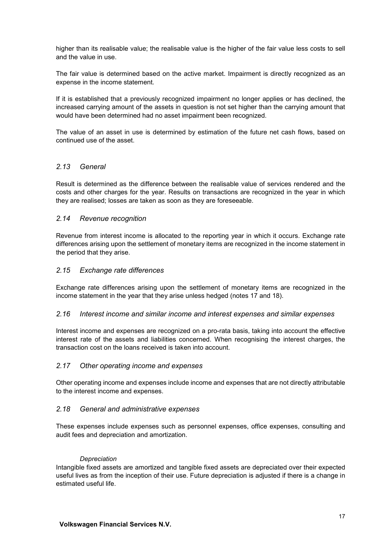higher than its realisable value; the realisable value is the higher of the fair value less costs to sell and the value in use.

The fair value is determined based on the active market. Impairment is directly recognized as an expense in the income statement.

If it is established that a previously recognized impairment no longer applies or has declined, the increased carrying amount of the assets in question is not set higher than the carrying amount that would have been determined had no asset impairment been recognized.

The value of an asset in use is determined by estimation of the future net cash flows, based on continued use of the asset.

## *2.13 General*

Result is determined as the difference between the realisable value of services rendered and the costs and other charges for the year. Results on transactions are recognized in the year in which they are realised; losses are taken as soon as they are foreseeable.

## *2.14 Revenue recognition*

Revenue from interest income is allocated to the reporting year in which it occurs. Exchange rate differences arising upon the settlement of monetary items are recognized in the income statement in the period that they arise.

## *2.15 Exchange rate differences*

Exchange rate differences arising upon the settlement of monetary items are recognized in the income statement in the year that they arise unless hedged (notes 17 and 18).

## *2.16 Interest income and similar income and interest expenses and similar expenses*

Interest income and expenses are recognized on a pro-rata basis, taking into account the effective interest rate of the assets and liabilities concerned. When recognising the interest charges, the transaction cost on the loans received is taken into account.

## *2.17 Other operating income and expenses*

Other operating income and expenses include income and expenses that are not directly attributable to the interest income and expenses.

## *2.18 General and administrative expenses*

These expenses include expenses such as personnel expenses, office expenses, consulting and audit fees and depreciation and amortization.

## *Depreciation*

Intangible fixed assets are amortized and tangible fixed assets are depreciated over their expected useful lives as from the inception of their use. Future depreciation is adjusted if there is a change in estimated useful life.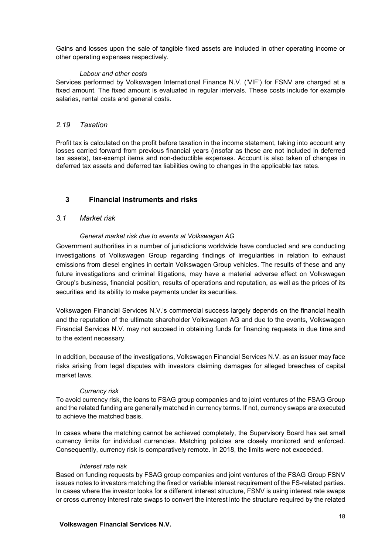Gains and losses upon the sale of tangible fixed assets are included in other operating income or other operating expenses respectively.

### *Labour and other costs*

Services performed by Volkswagen International Finance N.V. ('VIF') for FSNV are charged at a fixed amount. The fixed amount is evaluated in regular intervals. These costs include for example salaries, rental costs and general costs.

## *2.19 Taxation*

Profit tax is calculated on the profit before taxation in the income statement, taking into account any losses carried forward from previous financial years (insofar as these are not included in deferred tax assets), tax-exempt items and non-deductible expenses. Account is also taken of changes in deferred tax assets and deferred tax liabilities owing to changes in the applicable tax rates.

# **3 Financial instruments and risks**

## *3.1 Market risk*

## *General market risk due to events at Volkswagen AG*

Government authorities in a number of jurisdictions worldwide have conducted and are conducting investigations of Volkswagen Group regarding findings of irregularities in relation to exhaust emissions from diesel engines in certain Volkswagen Group vehicles. The results of these and any future investigations and criminal litigations, may have a material adverse effect on Volkswagen Group's business, financial position, results of operations and reputation, as well as the prices of its securities and its ability to make payments under its securities.

Volkswagen Financial Services N.V.'s commercial success largely depends on the financial health and the reputation of the ultimate shareholder Volkswagen AG and due to the events, Volkswagen Financial Services N.V. may not succeed in obtaining funds for financing requests in due time and to the extent necessary.

In addition, because of the investigations, Volkswagen Financial Services N.V. as an issuer may face risks arising from legal disputes with investors claiming damages for alleged breaches of capital market laws.

## *Currency risk*

To avoid currency risk, the loans to FSAG group companies and to joint ventures of the FSAG Group and the related funding are generally matched in currency terms. If not, currency swaps are executed to achieve the matched basis.

In cases where the matching cannot be achieved completely, the Supervisory Board has set small currency limits for individual currencies. Matching policies are closely monitored and enforced. Consequently, currency risk is comparatively remote. In 2018, the limits were not exceeded.

## *Interest rate risk*

Based on funding requests by FSAG group companies and joint ventures of the FSAG Group FSNV issues notes to investors matching the fixed or variable interest requirement of the FS-related parties. In cases where the investor looks for a different interest structure, FSNV is using interest rate swaps or cross currency interest rate swaps to convert the interest into the structure required by the related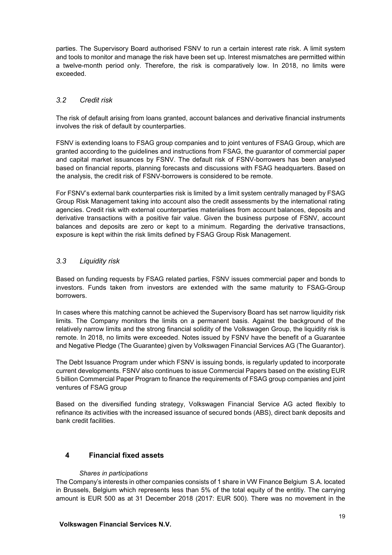parties. The Supervisory Board authorised FSNV to run a certain interest rate risk. A limit system and tools to monitor and manage the risk have been set up. Interest mismatches are permitted within a twelve-month period only. Therefore, the risk is comparatively low. In 2018, no limits were exceeded.

# *3.2 Credit risk*

The risk of default arising from loans granted, account balances and derivative financial instruments involves the risk of default by counterparties.

FSNV is extending loans to FSAG group companies and to joint ventures of FSAG Group, which are granted according to the guidelines and instructions from FSAG, the guarantor of commercial paper and capital market issuances by FSNV. The default risk of FSNV-borrowers has been analysed based on financial reports, planning forecasts and discussions with FSAG headquarters. Based on the analysis, the credit risk of FSNV-borrowers is considered to be remote.

For FSNV's external bank counterparties risk is limited by a limit system centrally managed by FSAG Group Risk Management taking into account also the credit assessments by the international rating agencies. Credit risk with external counterparties materialises from account balances, deposits and derivative transactions with a positive fair value. Given the business purpose of FSNV, account balances and deposits are zero or kept to a minimum. Regarding the derivative transactions, exposure is kept within the risk limits defined by FSAG Group Risk Management.

# *3.3 Liquidity risk*

Based on funding requests by FSAG related parties, FSNV issues commercial paper and bonds to investors. Funds taken from investors are extended with the same maturity to FSAG-Group borrowers.

In cases where this matching cannot be achieved the Supervisory Board has set narrow liquidity risk limits. The Company monitors the limits on a permanent basis. Against the background of the relatively narrow limits and the strong financial solidity of the Volkswagen Group, the liquidity risk is remote. In 2018, no limits were exceeded. Notes issued by FSNV have the benefit of a Guarantee and Negative Pledge (The Guarantee) given by Volkswagen Financial Services AG (The Guarantor).

The Debt Issuance Program under which FSNV is issuing bonds, is regularly updated to incorporate current developments. FSNV also continues to issue Commercial Papers based on the existing EUR 5 billion Commercial Paper Program to finance the requirements of FSAG group companies and joint ventures of FSAG group

Based on the diversified funding strategy, Volkswagen Financial Service AG acted flexibly to refinance its activities with the increased issuance of secured bonds (ABS), direct bank deposits and bank credit facilities.

# **4 Financial fixed assets**

## *Shares in participations*

The Company's interests in other companies consists of 1 share in VW Finance Belgium S.A. located in Brussels, Belgium which represents less than 5% of the total equity of the entitiy. The carrying amount is EUR 500 as at 31 December 2018 (2017: EUR 500). There was no movement in the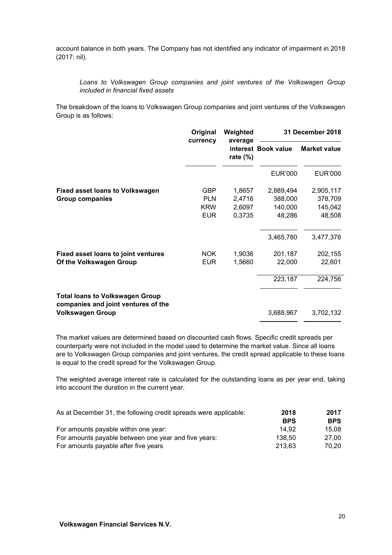account balance in both years. The Company has not identified any indicator of impairment in 2018 (2017: nil).

*Loans to Volkswagen Group companies and joint ventures of the Volkswagen Group included in financial fixed assets*

The breakdown of the loans to Volkswagen Group companies and joint ventures of the Volkswagen Group is as follows:

|                                                                               | Original<br>currency | Weighted<br>average | 31 December 2018    |                     |  |
|-------------------------------------------------------------------------------|----------------------|---------------------|---------------------|---------------------|--|
|                                                                               |                      | rate $(\%)$         | interest Book value | <b>Market value</b> |  |
|                                                                               |                      |                     | <b>EUR'000</b>      | EUR'000             |  |
| <b>Fixed asset loans to Volkswagen</b>                                        | <b>GBP</b>           | 1,8657              | 2,889,494           | 2,905,117           |  |
| <b>Group companies</b>                                                        | <b>PLN</b>           | 2,4716              | 388,000             | 378,709             |  |
|                                                                               | <b>KRW</b>           | 2,6097              | 140,000             | 145,042             |  |
|                                                                               | <b>EUR</b>           | 0,3735              | 48,286              | 48,508              |  |
|                                                                               |                      |                     | 3,465,780           | 3,477,376           |  |
| <b>Fixed asset loans to joint ventures</b>                                    | <b>NOK</b>           | 1,9036              | 201,187             | 202,155             |  |
| Of the Volkswagen Group                                                       | <b>EUR</b>           | 1,5660              | 22,000              | 22,601              |  |
|                                                                               |                      |                     | 223,187             | 224,756             |  |
| <b>Total loans to Volkswagen Group</b><br>companies and joint ventures of the |                      |                     |                     |                     |  |
| <b>Volkswagen Group</b>                                                       |                      |                     | 3,688,967           | 3,702,132           |  |

The market values are determined based on discounted cash flows. Specific credit spreads per counterparty were not included in the model used to determine the market value. Since all loans are to Volkswagen Group companies and joint ventures, the credit spread applicable to these loans is equal to the credit spread for the Volkswagen Group.

The weighted average interest rate is calculated for the outstanding loans as per year end, taking into account the duration in the current year.

| As at December 31, the following credit spreads were applicable: | 2018       | 2017       |
|------------------------------------------------------------------|------------|------------|
|                                                                  | <b>BPS</b> | <b>BPS</b> |
| For amounts payable within one year:                             | 14.92      | 15.08      |
| For amounts payable between one year and five years:             | 138.50     | 27.00      |
| For amounts payable after five years                             | 213.63     | 70.20      |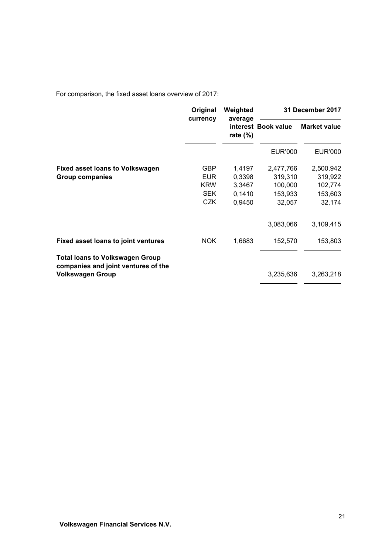For comparison, the fixed asset loans overview of 2017:

|                                                                               | Original<br>currency | Weighted               | 31 December 2017    |                     |  |
|-------------------------------------------------------------------------------|----------------------|------------------------|---------------------|---------------------|--|
|                                                                               |                      | average<br>rate $(\%)$ | interest Book value | <b>Market value</b> |  |
|                                                                               |                      |                        | EUR'000             | EUR'000             |  |
| <b>Fixed asset loans to Volkswagen</b>                                        | <b>GBP</b>           | 1,4197                 | 2,477,766           | 2,500,942           |  |
| Group companies                                                               | <b>EUR</b>           | 0,3398                 | 319,310             | 319,922             |  |
|                                                                               | <b>KRW</b>           | 3,3467                 | 100,000             | 102,774             |  |
|                                                                               | <b>SEK</b>           | 0,1410                 | 153,933             | 153,603             |  |
|                                                                               | <b>CZK</b>           | 0,9450                 | 32,057              | 32,174              |  |
|                                                                               |                      |                        | 3,083,066           | 3,109,415           |  |
| Fixed asset loans to joint ventures                                           | <b>NOK</b>           | 1,6683                 | 152,570             | 153,803             |  |
| <b>Total loans to Volkswagen Group</b><br>companies and joint ventures of the |                      |                        |                     |                     |  |
| <b>Volkswagen Group</b>                                                       |                      |                        | 3,235,636           | 3,263,218           |  |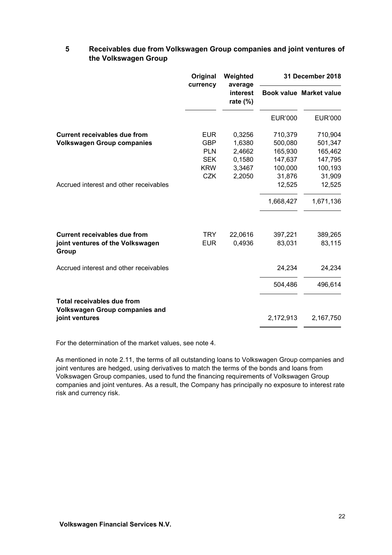# **5 Receivables due from Volkswagen Group companies and joint ventures of the Volkswagen Group**

|                                                                            | Original<br>currency | Weighted<br>average     |                | 31 December 2018               |  |
|----------------------------------------------------------------------------|----------------------|-------------------------|----------------|--------------------------------|--|
|                                                                            |                      | interest<br>rate $(\%)$ |                | <b>Book value Market value</b> |  |
|                                                                            |                      |                         | <b>EUR'000</b> | <b>EUR'000</b>                 |  |
| <b>Current receivables due from</b>                                        | <b>EUR</b>           | 0,3256                  | 710,379        | 710,904                        |  |
| <b>Volkswagen Group companies</b>                                          | <b>GBP</b>           | 1,6380                  | 500,080        | 501,347                        |  |
|                                                                            | <b>PLN</b>           | 2,4662                  | 165,930        | 165,462                        |  |
|                                                                            | <b>SEK</b>           | 0,1580                  | 147,637        | 147,795                        |  |
|                                                                            | <b>KRW</b>           | 3,3467                  | 100,000        | 100,193                        |  |
|                                                                            | <b>CZK</b>           | 2,2050                  | 31,876         | 31,909                         |  |
| Accrued interest and other receivables                                     |                      |                         | 12,525         | 12,525                         |  |
|                                                                            |                      |                         | 1,668,427      | 1,671,136                      |  |
| <b>Current receivables due from</b>                                        | <b>TRY</b>           | 22,0616                 | 397,221        | 389,265                        |  |
| joint ventures of the Volkswagen<br>Group                                  | <b>EUR</b>           | 0,4936                  | 83,031         | 83,115                         |  |
| Accrued interest and other receivables                                     |                      |                         | 24,234         | 24,234                         |  |
|                                                                            |                      |                         | 504,486        | 496,614                        |  |
| <b>Total receivables due from</b><br><b>Volkswagen Group companies and</b> |                      |                         |                |                                |  |
| joint ventures                                                             |                      |                         | 2,172,913      | 2,167,750                      |  |

For the determination of the market values, see note 4.

As mentioned in note 2.11, the terms of all outstanding loans to Volkswagen Group companies and joint ventures are hedged, using derivatives to match the terms of the bonds and loans from Volkswagen Group companies, used to fund the financing requirements of Volkswagen Group companies and joint ventures. As a result, the Company has principally no exposure to interest rate risk and currency risk.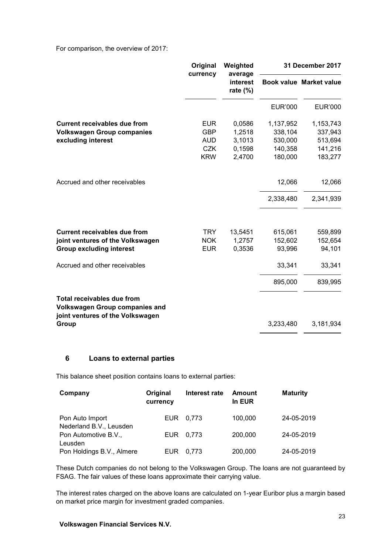For comparison, the overview of 2017:

|                                                                                                         | Original   | Weighted<br>average     | 31 December 2017 |                         |
|---------------------------------------------------------------------------------------------------------|------------|-------------------------|------------------|-------------------------|
|                                                                                                         | currency   | interest<br>rate $(\%)$ |                  | Book value Market value |
|                                                                                                         |            |                         | <b>EUR'000</b>   | <b>EUR'000</b>          |
| <b>Current receivables due from</b>                                                                     | <b>EUR</b> | 0,0586                  | 1,137,952        | 1,153,743               |
| <b>Volkswagen Group companies</b>                                                                       | <b>GBP</b> | 1,2518                  | 338,104          | 337,943                 |
| excluding interest                                                                                      | <b>AUD</b> | 3,1013                  | 530,000          | 513,694                 |
|                                                                                                         | <b>CZK</b> | 0,1598                  | 140,358          | 141,216                 |
|                                                                                                         | <b>KRW</b> | 2,4700                  | 180,000          | 183,277                 |
| Accrued and other receivables                                                                           |            |                         | 12,066           | 12,066                  |
|                                                                                                         |            |                         | 2,338,480        | 2,341,939               |
|                                                                                                         |            |                         |                  |                         |
| <b>Current receivables due from</b>                                                                     | <b>TRY</b> | 13,5451                 | 615,061          | 559,899                 |
| joint ventures of the Volkswagen                                                                        | <b>NOK</b> | 1,2757                  | 152,602          | 152,654                 |
| <b>Group excluding interest</b>                                                                         | <b>EUR</b> | 0,3536                  | 93,996           | 94,101                  |
| Accrued and other receivables                                                                           |            |                         | 33,341           | 33,341                  |
|                                                                                                         |            |                         | 895,000          | 839,995                 |
| Total receivables due from<br><b>Volkswagen Group companies and</b><br>joint ventures of the Volkswagen |            |                         |                  |                         |
| Group                                                                                                   |            |                         | 3,233,480        | 3,181,934               |

# **6 Loans to external parties**

This balance sheet position contains loans to external parties:

| Company                                    | Original<br>currency | Interest rate | Amount<br>In EUR | <b>Maturity</b> |
|--------------------------------------------|----------------------|---------------|------------------|-----------------|
| Pon Auto Import<br>Nederland B.V., Leusden | EUR.                 | 0.773         | 100.000          | 24-05-2019      |
| Pon Automotive B.V.,<br>Leusden            | EUR.                 | 0.773         | 200,000          | 24-05-2019      |
| Pon Holdings B.V., Almere                  | <b>EUR</b>           | 0.773         | 200,000          | 24-05-2019      |

These Dutch companies do not belong to the Volkswagen Group. The loans are not guaranteed by FSAG. The fair values of these loans approximate their carrying value.

The interest rates charged on the above loans are calculated on 1-year Euribor plus a margin based on market price margin for investment graded companies.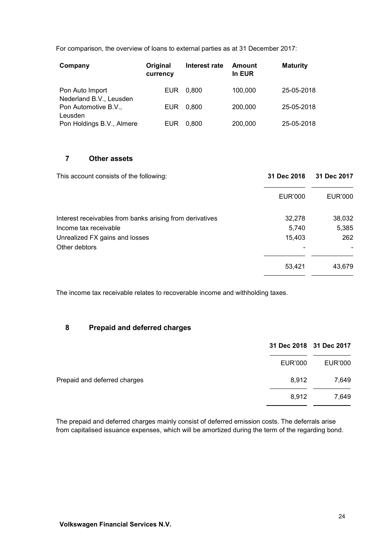For comparison, the overview of loans to external parties as at 31 December 2017:

| Company                                    | Original<br>currency | Interest rate | Amount<br>In EUR | <b>Maturity</b> |
|--------------------------------------------|----------------------|---------------|------------------|-----------------|
| Pon Auto Import<br>Nederland B.V., Leusden | <b>EUR</b>           | 0.800         | 100,000          | 25-05-2018      |
| Pon Automotive B.V.,<br>Leusden            | <b>EUR</b>           | 0.800         | 200,000          | 25-05-2018      |
| Pon Holdings B.V., Almere                  | EUR                  | 0.800         | 200,000          | 25-05-2018      |

# **7 Other assets**

| This account consists of the following:                  | 31 Dec 2018    | 31 Dec 2017 |  |
|----------------------------------------------------------|----------------|-------------|--|
|                                                          | <b>EUR'000</b> | EUR'000     |  |
| Interest receivables from banks arising from derivatives | 32,278         | 38,032      |  |
| Income tax receivable                                    | 5,740          | 5,385       |  |
| Unrealized FX gains and losses                           | 15,403         | 262         |  |
| Other debtors                                            |                |             |  |
|                                                          | 53,421         | 43,679      |  |

The income tax receivable relates to recoverable income and withholding taxes.

## **8 Prepaid and deferred charges**

|                              |         | 31 Dec 2018 31 Dec 2017 |
|------------------------------|---------|-------------------------|
|                              | EUR'000 | EUR'000                 |
| Prepaid and deferred charges | 8.912   | 7,649                   |
|                              | 8,912   | 7,649                   |

The prepaid and deferred charges mainly consist of deferred emission costs. The deferrals arise from capitalised issuance expenses, which will be amortized during the term of the regarding bond.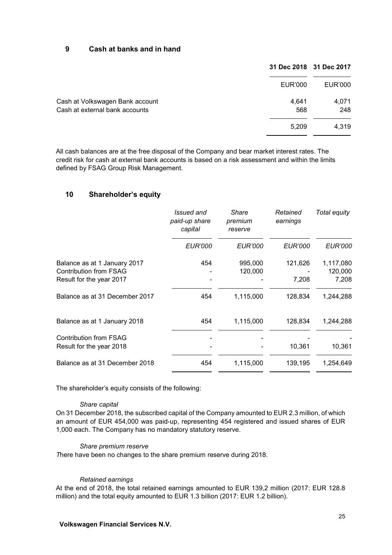## **9 Cash at banks and in hand**

|                                 |         | 31 Dec 2018 31 Dec 2017 |
|---------------------------------|---------|-------------------------|
|                                 | EUR'000 | EUR'000                 |
| Cash at Volkswagen Bank account | 4.641   | 4,071                   |
| Cash at external bank accounts  | 568     | 248                     |
|                                 | 5.209   | 4,319                   |

All cash balances are at the free disposal of the Company and bear market interest rates. The credit risk for cash at external bank accounts is based on a risk assessment and within the limits defined by FSAG Group Risk Management.

## **10 Shareholder's equity**

|                                                               | Issued and<br>paid-up share<br>capital | Share<br>premium<br>reserve | Retained<br>earnings | Total equity         |
|---------------------------------------------------------------|----------------------------------------|-----------------------------|----------------------|----------------------|
|                                                               | <b>EUR'000</b>                         | <b>EUR'000</b>              | <i>EUR'000</i>       | <i>EUR'000</i>       |
| Balance as at 1 January 2017<br><b>Contribution from FSAG</b> | 454                                    | 995,000<br>120,000          | 121,626              | 1,117,080<br>120,000 |
| Result for the year 2017                                      |                                        |                             | 7,208                | 7,208                |
| Balance as at 31 December 2017                                | 454                                    | 1,115,000                   | 128,834              | 1,244,288            |
| Balance as at 1 January 2018                                  | 454                                    | 1,115,000                   | 128,834              | 1,244,288            |
| <b>Contribution from FSAG</b><br>Result for the year 2018     |                                        |                             | 10,361               | 10,361               |
| Balance as at 31 December 2018                                | 454                                    | 1,115,000                   | 139,195              | 1,254,649            |

The shareholder's equity consists of the following:

#### *Share capital*

On 31 December 2018, the subscribed capital of the Company amounted to EUR 2.3 million, of which an amount of EUR 454,000 was paid-up, representing 454 registered and issued shares of EUR 1,000 each. The Company has no mandatory statutory reserve.

#### *Share premium reserve*

*T*here have been no changes to the share premium reserve during 2018.

### *Retained earnings*

At the end of 2018, the total retained earnings amounted to EUR 139,2 million (2017: EUR 128.8 million) and the total equity amounted to EUR 1.3 billion (2017: EUR 1.2 billion).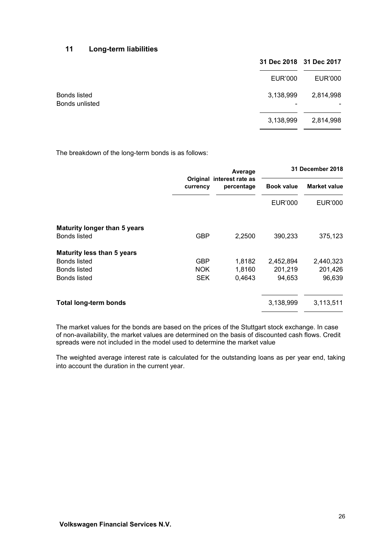# **11 Long-term liabilities**

|                                | 31 Dec 2018 31 Dec 2017 |           |
|--------------------------------|-------------------------|-----------|
|                                | EUR'000                 | EUR'000   |
| Bonds listed<br>Bonds unlisted | 3,138,999               | 2,814,998 |
|                                | 3,138,999               | 2,814,998 |

The breakdown of the long-term bonds is as follows:

|                                                            | currency   | Average                                 |                   | 31 December 2018    |
|------------------------------------------------------------|------------|-----------------------------------------|-------------------|---------------------|
|                                                            |            | Original interest rate as<br>percentage | <b>Book value</b> | <b>Market value</b> |
|                                                            |            |                                         | <b>EUR'000</b>    | EUR'000             |
| <b>Maturity longer than 5 years</b><br><b>Bonds listed</b> | <b>GBP</b> | 2,2500                                  | 390,233           | 375,123             |
| <b>Maturity less than 5 years</b>                          |            |                                         |                   |                     |
| <b>Bonds listed</b>                                        | GBP        | 1,8182                                  | 2,452,894         | 2,440,323           |
| <b>Bonds listed</b>                                        | <b>NOK</b> | 1,8160                                  | 201,219           | 201,426             |
| <b>Bonds listed</b>                                        | <b>SEK</b> | 0,4643                                  | 94,653            | 96,639              |
| <b>Total long-term bonds</b>                               |            |                                         | 3,138,999         | 3,113,511           |

The market values for the bonds are based on the prices of the Stuttgart stock exchange. In case of non-availability, the market values are determined on the basis of discounted cash flows. Credit spreads were not included in the model used to determine the market value

The weighted average interest rate is calculated for the outstanding loans as per year end, taking into account the duration in the current year.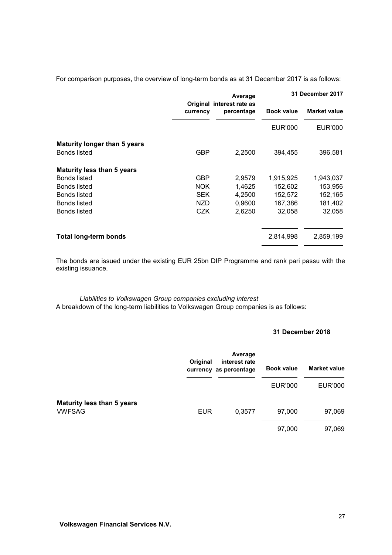For comparison purposes, the overview of long-term bonds as at 31 December 2017 is as follows:

| <b>Market value</b>                                                                                                 |
|---------------------------------------------------------------------------------------------------------------------|
| <b>EUR'000</b>                                                                                                      |
|                                                                                                                     |
| 396,581                                                                                                             |
|                                                                                                                     |
| 1,943,037                                                                                                           |
| 153,956                                                                                                             |
| 152,165                                                                                                             |
| 181,402                                                                                                             |
| 32,058                                                                                                              |
| 2,859,199                                                                                                           |
| <b>Book value</b><br><b>EUR'000</b><br>394,455<br>1,915,925<br>152,602<br>152,572<br>167,386<br>32,058<br>2,814,998 |

The bonds are issued under the existing EUR 25bn DIP Programme and rank pari passu with the existing issuance.

*Liabilities to Volkswagen Group companies excluding interest* A breakdown of the long-term liabilities to Volkswagen Group companies is as follows:

#### **31 December 2018**

|                                                    | Original   | Average<br>interest rate<br>currency as percentage | <b>Book value</b> | <b>Market value</b> |
|----------------------------------------------------|------------|----------------------------------------------------|-------------------|---------------------|
|                                                    |            |                                                    | EUR'000           | <b>EUR'000</b>      |
| <b>Maturity less than 5 years</b><br><b>VWFSAG</b> | <b>EUR</b> | 0,3577                                             | 97,000            | 97,069              |
|                                                    |            |                                                    | 97,000            | 97,069              |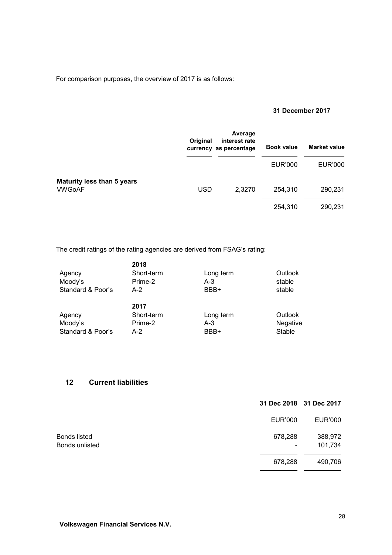For comparison purposes, the overview of 2017 is as follows:

## **31 December 2017**

|                                                    | Original   | Average<br>interest rate<br>currency as percentage | <b>Book value</b> | <b>Market value</b> |
|----------------------------------------------------|------------|----------------------------------------------------|-------------------|---------------------|
|                                                    |            |                                                    | EUR'000           | <b>EUR'000</b>      |
| <b>Maturity less than 5 years</b><br><b>VWGoAF</b> | <b>USD</b> | 2,3270                                             | 254,310           | 290,231             |
|                                                    |            |                                                    | 254,310           | 290,231             |

The credit ratings of the rating agencies are derived from FSAG's rating:

|                   | 2018       |           |          |
|-------------------|------------|-----------|----------|
| Agency            | Short-term | Long term | Outlook  |
| Moody's           | Prime-2    | $A-3$     | stable   |
| Standard & Poor's | A-2        | BBB+      | stable   |
|                   |            |           |          |
|                   | 2017       |           |          |
| Agency            | Short-term | Long term | Outlook  |
| Moody's           | Prime-2    | A-3       | Negative |
| Standard & Poor's | A-2        | BBB+      | Stable   |

# **12 Current liabilities**

|                                | 31 Dec 2018 31 Dec 2017 |                    |
|--------------------------------|-------------------------|--------------------|
|                                | <b>EUR'000</b>          | <b>EUR'000</b>     |
| Bonds listed<br>Bonds unlisted | 678,288<br>۰            | 388,972<br>101,734 |
|                                | 678,288                 | 490,706            |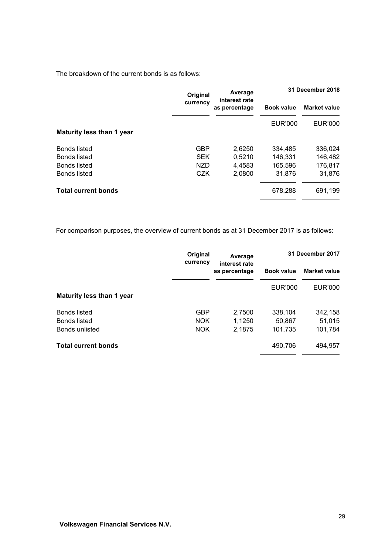The breakdown of the current bonds is as follows:

|                            | <b>Original</b><br>currency | Average                        |                   | 31 December 2018    |
|----------------------------|-----------------------------|--------------------------------|-------------------|---------------------|
|                            |                             | interest rate<br>as percentage | <b>Book value</b> | <b>Market value</b> |
|                            |                             |                                | EUR'000           | <b>EUR'000</b>      |
| Maturity less than 1 year  |                             |                                |                   |                     |
| Bonds listed               | <b>GBP</b>                  | 2,6250                         | 334,485           | 336,024             |
| Bonds listed               | <b>SEK</b>                  | 0.5210                         | 146,331           | 146,482             |
| Bonds listed               | <b>NZD</b>                  | 4.4583                         | 165,596           | 176,817             |
| <b>Bonds listed</b>        | CZK                         | 2.0800                         | 31.876            | 31,876              |
| <b>Total current bonds</b> |                             |                                | 678,288           | 691,199             |
|                            |                             |                                |                   |                     |

For comparison purposes, the overview of current bonds as at 31 December 2017 is as follows:

|                            | Original   | Average                        | 31 December 2017  |                     |
|----------------------------|------------|--------------------------------|-------------------|---------------------|
|                            | currency   | interest rate<br>as percentage | <b>Book value</b> | <b>Market value</b> |
|                            |            |                                | <b>EUR'000</b>    | EUR'000             |
| Maturity less than 1 year  |            |                                |                   |                     |
| <b>Bonds listed</b>        | <b>GBP</b> | 2,7500                         | 338.104           | 342,158             |
| <b>Bonds listed</b>        | <b>NOK</b> | 1,1250                         | 50,867            | 51,015              |
| Bonds unlisted             | <b>NOK</b> | 2,1875                         | 101,735           | 101,784             |
| <b>Total current bonds</b> |            |                                | 490,706           | 494,957             |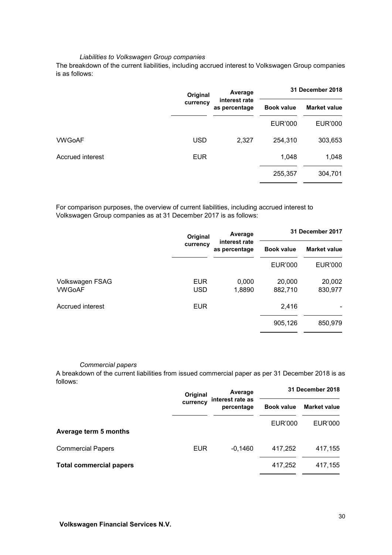#### *Liabilities to Volkswagen Group companies*

The breakdown of the current liabilities, including accrued interest to Volkswagen Group companies is as follows:

| Original<br>currency | Average       | 31 December 2018  |                     |
|----------------------|---------------|-------------------|---------------------|
|                      | as percentage | <b>Book value</b> | <b>Market value</b> |
|                      |               | <b>EUR'000</b>    | <b>EUR'000</b>      |
| <b>USD</b>           | 2,327         | 254,310           | 303,653             |
| <b>EUR</b>           |               | 1,048             | 1,048               |
|                      |               | 255,357           | 304,701             |
|                      |               | interest rate     |                     |

For comparison purposes, the overview of current liabilities, including accrued interest to Volkswagen Group companies as at 31 December 2017 is as follows:

|                           | Original                 | Average                                             |                   | 31 December 2017    |
|---------------------------|--------------------------|-----------------------------------------------------|-------------------|---------------------|
|                           | currency                 | interest rate<br><b>Book value</b><br>as percentage |                   | <b>Market value</b> |
|                           |                          |                                                     | <b>EUR'000</b>    | EUR'000             |
| Volkswagen FSAG<br>VWGoAF | <b>EUR</b><br><b>USD</b> | 0,000<br>1,8890                                     | 20,000<br>882,710 | 20,002<br>830,977   |
| Accrued interest          | <b>EUR</b>               |                                                     | 2,416             |                     |
|                           |                          |                                                     | 905,126           | 850,979             |

#### *Commercial papers*

A breakdown of the current liabilities from issued commercial paper as per 31 December 2018 is as follows:

|                                | Original   | Average                        | 31 December 2018  |                     |
|--------------------------------|------------|--------------------------------|-------------------|---------------------|
|                                | currency   | interest rate as<br>percentage | <b>Book value</b> | <b>Market value</b> |
| Average term 5 months          |            |                                | EUR'000           | EUR'000             |
| <b>Commercial Papers</b>       | <b>EUR</b> | $-0,1460$                      | 417,252           | 417,155             |
| <b>Total commercial papers</b> |            |                                | 417,252           | 417,155             |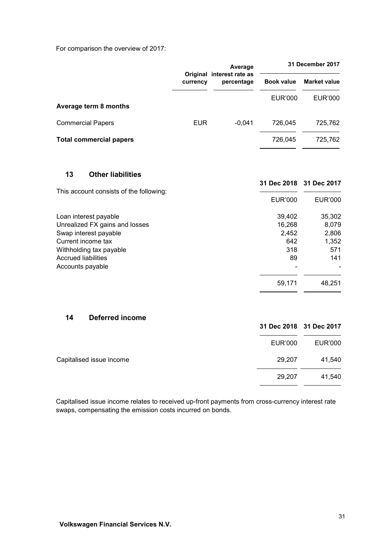For comparison the overview of 2017:

|                                                | currency   | Average                                 |                   | 31 December 2017        |  |
|------------------------------------------------|------------|-----------------------------------------|-------------------|-------------------------|--|
|                                                |            | Original interest rate as<br>percentage | <b>Book value</b> | <b>Market value</b>     |  |
|                                                |            |                                         | <b>EUR'000</b>    | <b>EUR'000</b>          |  |
| Average term 8 months                          |            |                                         |                   |                         |  |
| <b>Commercial Papers</b>                       | <b>EUR</b> | $-0,041$                                | 726,045           | 725,762                 |  |
| <b>Total commercial papers</b>                 |            |                                         | 726,045           | 725,762                 |  |
|                                                |            |                                         |                   |                         |  |
| 13<br><b>Other liabilities</b>                 |            |                                         |                   | 31 Dec 2018 31 Dec 2017 |  |
| This account consists of the following:        |            |                                         | <b>EUR'000</b>    | <b>EUR'000</b>          |  |
| Loan interest payable                          |            |                                         | 39,402            | 35,302                  |  |
| Unrealized FX gains and losses                 |            |                                         | 16,268            | 8,079                   |  |
| Swap interest payable                          |            |                                         | 2,452             | 2,806                   |  |
| Current income tax                             |            |                                         | 642               | 1,352                   |  |
| Withholding tax payable                        |            |                                         | 318               | 571                     |  |
| <b>Accrued liabilities</b><br>Accounts payable |            |                                         | 89                | 141                     |  |
|                                                |            |                                         | 59,171            | 48,251                  |  |
|                                                |            |                                         |                   |                         |  |
| <b>Deferred income</b><br>14                   |            |                                         |                   |                         |  |
|                                                |            |                                         |                   | 31 Dec 2018 31 Dec 2017 |  |
|                                                |            |                                         | <b>EUR'000</b>    | <b>EUR'000</b>          |  |

Capitalised issue income relates to received up-front payments from cross-currency interest rate swaps, compensating the emission costs incurred on bonds.

Capitalised issue income 29,207 41,540

29,207 41,540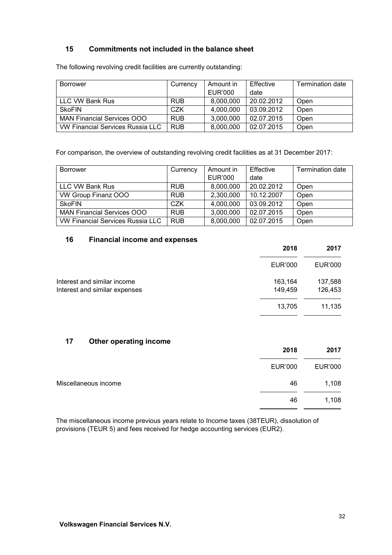# **15 Commitments not included in the balance sheet**

The following revolving credit facilities are currently outstanding:

| <b>Borrower</b>                         | Currency   | Amount in | Effective  | <b>Termination date</b> |
|-----------------------------------------|------------|-----------|------------|-------------------------|
|                                         |            | EUR'000   | date       |                         |
| LLC VW Bank Rus                         | <b>RUB</b> | 8,000,000 | 20.02.2012 | Open                    |
| <b>SkoFIN</b>                           | CZK        | 4,000,000 | 03.09.2012 | Open                    |
| MAN Financial Services OOO              | <b>RUB</b> | 3,000,000 | 02.07.2015 | Open                    |
| <b>VW Financial Services Russia LLC</b> | <b>RUB</b> | 8,000,000 | 02.07.2015 | Open                    |

For comparison, the overview of outstanding revolving credit facilities as at 31 December 2017:

| <b>Borrower</b>                  | Currency   | Amount in      | Effective  | <b>Termination date</b> |
|----------------------------------|------------|----------------|------------|-------------------------|
|                                  |            | <b>EUR'000</b> | date       |                         |
| LLC VW Bank Rus                  | <b>RUB</b> | 8,000,000      | 20.02.2012 | Open                    |
| VW Group Finanz OOO              | <b>RUB</b> | 2,300,000      | 10.12.2007 | Open                    |
| <b>SkoFIN</b>                    | CZK        | 4,000,000      | 03.09.2012 | Open                    |
| MAN Financial Services OOO       | <b>RUB</b> | 3,000,000      | 02.07.2015 | Open                    |
| VW Financial Services Russia LLC | <b>RUB</b> | 8,000,000      | 02.07.2015 | Open                    |

## **16 Financial income and expenses**

|                                                                                    | 2018   | 2017               |
|------------------------------------------------------------------------------------|--------|--------------------|
| <b>EUR'000</b>                                                                     |        | <b>EUR'000</b>     |
| Interest and similar income<br>163,164<br>149,459<br>Interest and similar expenses |        | 137,588<br>126,453 |
|                                                                                    | 13,705 | 11,135             |

## **17 Other operating income**

|                      | 2018           | 2017    |
|----------------------|----------------|---------|
|                      | <b>EUR'000</b> | EUR'000 |
| Miscellaneous income | 46             | 1,108   |
|                      | 46             | 1,108   |

The miscellaneous income previous years relate to Income taxes (38TEUR), dissolution of provisions (TEUR 5) and fees received for hedge accounting services (EUR2).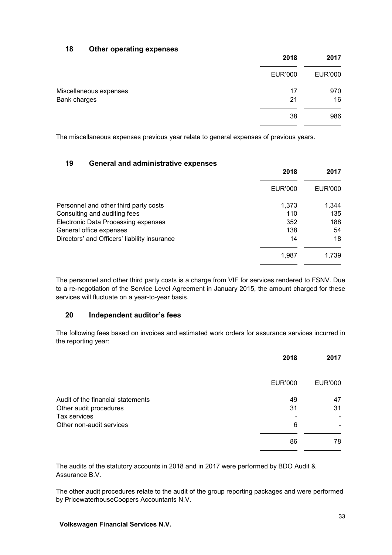# **18 Other operating expenses**

| 2018           | 2017           |
|----------------|----------------|
| <b>EUR'000</b> | <b>EUR'000</b> |
| 17             | 970            |
| 21             | 16             |
| 38             | 986            |
|                |                |

The miscellaneous expenses previous year relate to general expenses of previous years.

## **19 General and administrative expenses**

| 2018                                               | 2017    |
|----------------------------------------------------|---------|
| EUR'000                                            | EUR'000 |
| Personnel and other third party costs<br>1,373     | 1,344   |
| Consulting and auditing fees<br>110                | 135     |
| <b>Electronic Data Processing expenses</b><br>352  | 188     |
| General office expenses<br>138                     | 54      |
| Directors' and Officers' liability insurance<br>14 | 18      |
| 1,987                                              | 1,739   |

The personnel and other third party costs is a charge from VIF for services rendered to FSNV. Due to a re-negotiation of the Service Level Agreement in January 2015, the amount charged for these services will fluctuate on a year-to-year basis.

# **20 Independent auditor's fees**

The following fees based on invoices and estimated work orders for assurance services incurred in the reporting year:

|                                   | 2018           | 2017           |
|-----------------------------------|----------------|----------------|
|                                   | <b>EUR'000</b> | <b>EUR'000</b> |
| Audit of the financial statements | 49             | 47             |
| Other audit procedures            | 31             | 31             |
| Tax services                      |                |                |
| Other non-audit services          | 6              |                |
|                                   | 86             | 78             |

The audits of the statutory accounts in 2018 and in 2017 were performed by BDO Audit & Assurance B.V.

The other audit procedures relate to the audit of the group reporting packages and were performed by PricewaterhouseCoopers Accountants N.V.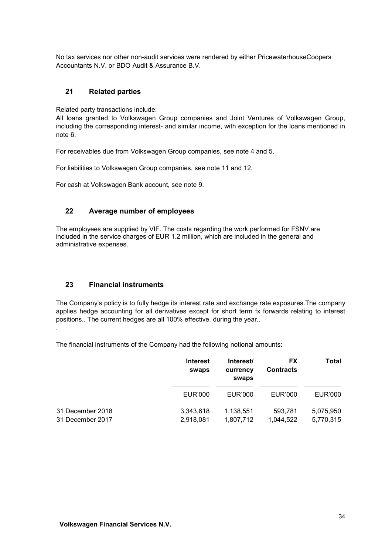No tax services nor other non-audit services were rendered by either PricewaterhouseCoopers Accountants N.V. or BDO Audit & Assurance B.V.

## **21 Related parties**

Related party transactions include:

All loans granted to Volkswagen Group companies and Joint Ventures of Volkswagen Group, including the corresponding interest- and similar income, with exception for the loans mentioned in note 6.

For receivables due from Volkswagen Group companies, see note 4 and 5.

For liabilities to Volkswagen Group companies, see note 11 and 12.

For cash at Volkswagen Bank account, see note 9.

# **22 Average number of employees**

The employees are supplied by VIF. The costs regarding the work performed for FSNV are included in the service charges of EUR 1.2 million, which are included in the general and administrative expenses.

## **23 Financial instruments**

.

The Company's policy is to fully hedge its interest rate and exchange rate exposures.The company applies hedge accounting for all derivatives except for short term fx forwards relating to interest positions.. The current hedges are all 100% effective. during the year..

The financial instruments of the Company had the following notional amounts:

|                                      | <b>Interest</b><br>swaps | Interest/<br>currency<br>swaps | FX<br><b>Contracts</b> | <b>Total</b>           |
|--------------------------------------|--------------------------|--------------------------------|------------------------|------------------------|
|                                      | EUR'000                  | EUR'000                        | EUR'000                | EUR'000                |
| 31 December 2018<br>31 December 2017 | 3,343,618<br>2,918,081   | 1,138,551<br>1,807,712         | 593.781<br>1,044,522   | 5.075.950<br>5,770,315 |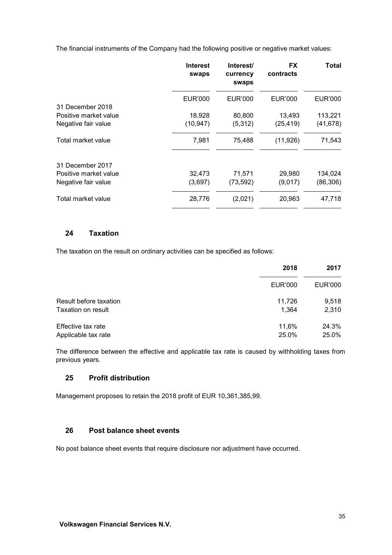The financial instruments of the Company had the following positive or negative market values:

|                       | <b>Interest</b><br>swaps | Interest/<br>currency<br>swaps | <b>FX</b><br>contracts | Total     |
|-----------------------|--------------------------|--------------------------------|------------------------|-----------|
|                       | EUR'000                  | EUR'000                        | EUR'000                | EUR'000   |
| 31 December 2018      |                          |                                |                        |           |
| Positive market value | 18,928                   | 80,800                         | 13,493                 | 113,221   |
| Negative fair value   | (10, 947)                | (5,312)                        | (25, 419)              | (41, 678) |
| Total market value    | 7,981                    | 75,488                         | (11, 926)              | 71,543    |
| 31 December 2017      |                          |                                |                        |           |
| Positive market value | 32,473                   | 71,571                         | 29,980                 | 134,024   |
| Negative fair value   | (3,697)                  | (73, 592)                      | (9,017)                | (86, 306) |
| Total market value    | 28,776                   | (2,021)                        | 20,963                 | 47,718    |

# **24 Taxation**

The taxation on the result on ordinary activities can be specified as follows:

|                        | 2018    | 2017    |
|------------------------|---------|---------|
|                        | EUR'000 | EUR'000 |
| Result before taxation | 11,726  | 9,518   |
| Taxation on result     | 1.364   | 2,310   |
| Effective tax rate     | 11,6%   | 24.3%   |
| Applicable tax rate    | 25.0%   | 25.0%   |

The difference between the effective and applicable tax rate is caused by withholding taxes from previous years.

# **25 Profit distribution**

Management proposes to retain the 2018 profit of EUR 10,361,385,99.

# **26 Post balance sheet events**

No post balance sheet events that require disclosure nor adjustment have occurred.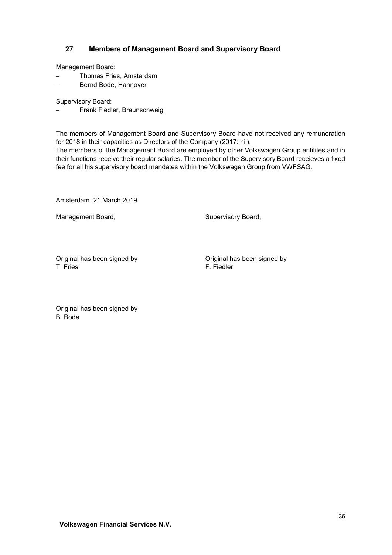# **27 Members of Management Board and Supervisory Board**

Management Board:

- − Thomas Fries, Amsterdam
- − Bernd Bode, Hannover

Supervisory Board:

Frank Fiedler, Braunschweig

The members of Management Board and Supervisory Board have not received any remuneration for 2018 in their capacities as Directors of the Company (2017: nil).

The members of the Management Board are employed by other Volkswagen Group entitites and in their functions receive their regular salaries. The member of the Supervisory Board receieves a fixed fee for all his supervisory board mandates within the Volkswagen Group from VWFSAG.

Amsterdam, 21 March 2019

Management Board, Supervisory Board, Supervisory Board,

Original has been signed by Original has been signed by T. Fries F. Fiedler

Original has been signed by B. Bode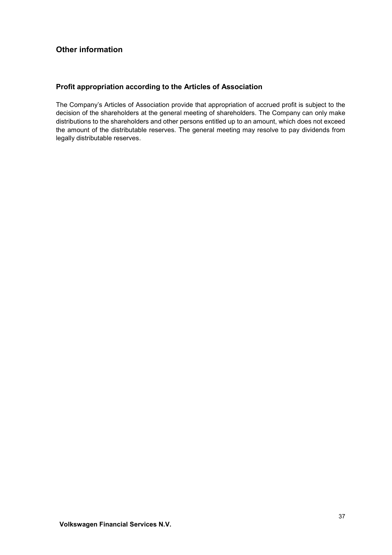# <span id="page-37-0"></span>**Other information**

# **Profit appropriation according to the Articles of Association**

The Company's Articles of Association provide that appropriation of accrued profit is subject to the decision of the shareholders at the general meeting of shareholders. The Company can only make distributions to the shareholders and other persons entitled up to an amount, which does not exceed the amount of the distributable reserves. The general meeting may resolve to pay dividends from legally distributable reserves.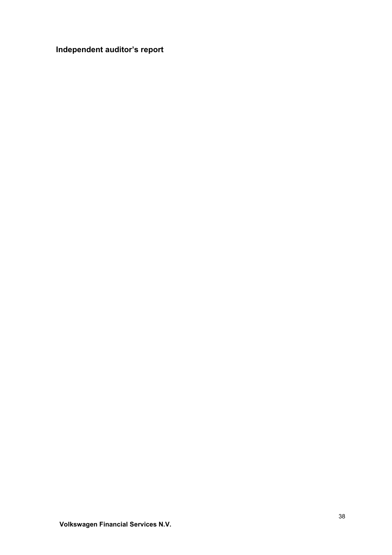# <span id="page-38-0"></span>**Independent auditor's report**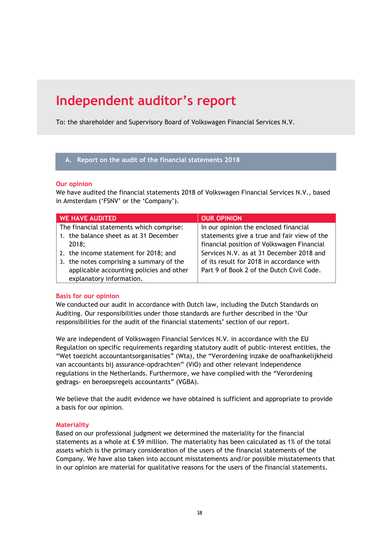# **Independent auditor's report**

To: the shareholder and Supervisory Board of Volkswagen Financial Services N.V.

#### **A. Report on the audit of the financial statements 2018**

#### **Our opinion**

We have audited the financial statements 2018 of Volkswagen Financial Services N.V., based in Amsterdam ('FSNV' or the 'Company').

| <b>WE HAVE AUDITED</b>                   | <b>OUR OPINION</b>                          |
|------------------------------------------|---------------------------------------------|
| The financial statements which comprise: | In our opinion the enclosed financial       |
| 1. the balance sheet as at 31 December   | statements give a true and fair view of the |
| 2018;                                    | financial position of Volkswagen Financial  |
| 2. the income statement for 2018; and    | Services N.V. as at 31 December 2018 and    |
| 3. the notes comprising a summary of the | of its result for 2018 in accordance with   |
| applicable accounting policies and other | Part 9 of Book 2 of the Dutch Civil Code.   |
| explanatory information.                 |                                             |

## **Basis for our opinion**

We conducted our audit in accordance with Dutch law, including the Dutch Standards on Auditing. Our responsibilities under those standards are further described in the 'Our responsibilities for the audit of the financial statements' section of our report.

We are independent of Volkswagen Financial Services N.V. in accordance with the EU Regulation on specific requirements regarding statutory audit of public-interest entities, the "Wet toezicht accountantsorganisaties" (Wta), the "Verordening inzake de onafhankelijkheid van accountants bij assurance-opdrachten" (ViO) and other relevant independence regulations in the Netherlands. Furthermore, we have complied with the "Verordening gedrags- en beroepsregels accountants" (VGBA).

We believe that the audit evidence we have obtained is sufficient and appropriate to provide a basis for our opinion.

## **Materiality**

Based on our professional judgment we determined the materiality for the financial statements as a whole at  $\epsilon$  59 million. The materiality has been calculated as 1% of the total assets which is the primary consideration of the users of the financial statements of the Company. We have also taken into account misstatements and/or possible misstatements that in our opinion are material for qualitative reasons for the users of the financial statements.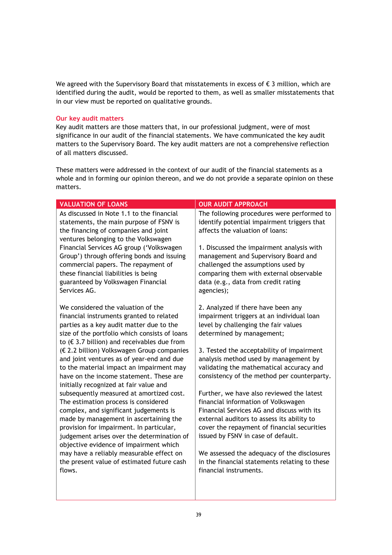We agreed with the Supervisory Board that misstatements in excess of  $\epsilon$  3 million, which are identified during the audit, would be reported to them, as well as smaller misstatements that in our view must be reported on qualitative grounds.

#### **Our key audit matters**

Key audit matters are those matters that, in our professional judgment, were of most significance in our audit of the financial statements. We have communicated the key audit matters to the Supervisory Board. The key audit matters are not a comprehensive reflection of all matters discussed.

These matters were addressed in the context of our audit of the financial statements as a whole and in forming our opinion thereon, and we do not provide a separate opinion on these matters.

| <b>VALUATION OF LOANS</b>                                                                                                                                                                                                                                                                                | <b>OUR AUDIT APPROACH</b>                                                                                                                                                                                                                                         |
|----------------------------------------------------------------------------------------------------------------------------------------------------------------------------------------------------------------------------------------------------------------------------------------------------------|-------------------------------------------------------------------------------------------------------------------------------------------------------------------------------------------------------------------------------------------------------------------|
| As discussed in Note 1.1 to the financial<br>statements, the main purpose of FSNV is<br>the financing of companies and joint<br>ventures belonging to the Volkswagen                                                                                                                                     | The following procedures were performed to<br>identify potential impairment triggers that<br>affects the valuation of loans:                                                                                                                                      |
| Financial Services AG group ('Volkswagen<br>Group') through offering bonds and issuing<br>commercial papers. The repayment of<br>these financial liabilities is being<br>guaranteed by Volkswagen Financial<br>Services AG.                                                                              | 1. Discussed the impairment analysis with<br>management and Supervisory Board and<br>challenged the assumptions used by<br>comparing them with external observable<br>data (e.g., data from credit rating<br>agencies);                                           |
| We considered the valuation of the<br>financial instruments granted to related<br>parties as a key audit matter due to the<br>size of the portfolio which consists of loans<br>to ( $\epsilon$ 3.7 billion) and receivables due from                                                                     | 2. Analyzed if there have been any<br>impairment triggers at an individual loan<br>level by challenging the fair values<br>determined by management;                                                                                                              |
| (€ 2.2 billion) Volkswagen Group companies<br>and joint ventures as of year-end and due<br>to the material impact an impairment may<br>have on the income statement. These are<br>initially recognized at fair value and                                                                                 | 3. Tested the acceptability of impairment<br>analysis method used by management by<br>validating the mathematical accuracy and<br>consistency of the method per counterparty.                                                                                     |
| subsequently measured at amortized cost.<br>The estimation process is considered<br>complex, and significant judgements is<br>made by management in ascertaining the<br>provision for impairment. In particular,<br>judgement arises over the determination of<br>objective evidence of impairment which | Further, we have also reviewed the latest<br>financial information of Volkswagen<br>Financial Services AG and discuss with its<br>external auditors to assess its ability to<br>cover the repayment of financial securities<br>issued by FSNV in case of default. |
| may have a reliably measurable effect on<br>the present value of estimated future cash<br>flows.                                                                                                                                                                                                         | We assessed the adequacy of the disclosures<br>in the financial statements relating to these<br>financial instruments.                                                                                                                                            |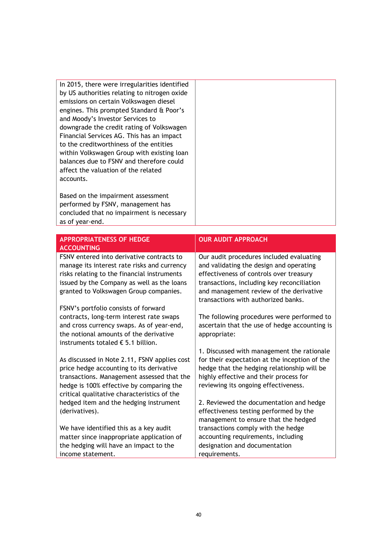In 2015, there were irregularities identified by US authorities relating to nitrogen oxide emissions on certain Volkswagen diesel engines. This prompted Standard & Poor's and Moody's Investor Services to downgrade the credit rating of Volkswagen Financial Services AG. This has an impact to the creditworthiness of the entities within Volkswagen Group with existing loan balances due to FSNV and therefore could affect the valuation of the related accounts.

Based on the impairment assessment performed by FSNV, management has concluded that no impairment is necessary as of year-end.

| <b>APPROPRIATENESS OF HEDGE</b><br><b>ACCOUNTING</b>                                                                                                                                                                                   | <b>OUR AUDIT APPROACH</b>                                                                                                                                                                                                                                      |
|----------------------------------------------------------------------------------------------------------------------------------------------------------------------------------------------------------------------------------------|----------------------------------------------------------------------------------------------------------------------------------------------------------------------------------------------------------------------------------------------------------------|
| <b>FSNV</b> entered into derivative contracts to<br>manage its interest rate risks and currency<br>risks relating to the financial instruments<br>issued by the Company as well as the loans<br>granted to Volkswagen Group companies. | Our audit procedures included evaluating<br>and validating the design and operating<br>effectiveness of controls over treasury<br>transactions, including key reconciliation<br>and management review of the derivative<br>transactions with authorized banks. |
| FSNV's portfolio consists of forward<br>contracts, long-term interest rate swaps<br>and cross currency swaps. As of year-end,<br>the notional amounts of the derivative<br>instruments totaled $\epsilon$ 5.1 billion.                 | The following procedures were performed to<br>ascertain that the use of hedge accounting is<br>appropriate:                                                                                                                                                    |
| As discussed in Note 2.11, FSNV applies cost<br>price hedge accounting to its derivative<br>transactions. Management assessed that the<br>hedge is 100% effective by comparing the<br>critical qualitative characteristics of the      | 1. Discussed with management the rationale<br>for their expectation at the inception of the<br>hedge that the hedging relationship will be<br>highly effective and their process for<br>reviewing its ongoing effectiveness.                                   |
| hedged item and the hedging instrument<br>(derivatives).                                                                                                                                                                               | 2. Reviewed the documentation and hedge<br>effectiveness testing performed by the<br>management to ensure that the hedged                                                                                                                                      |
| We have identified this as a key audit<br>matter since inappropriate application of<br>the hedging will have an impact to the<br>income statement.                                                                                     | transactions comply with the hedge<br>accounting requirements, including<br>designation and documentation<br>requirements.                                                                                                                                     |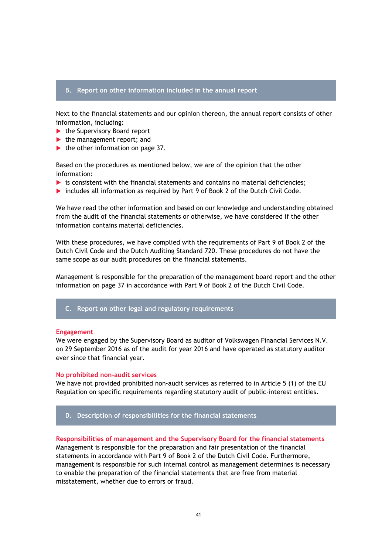#### **B. Report on other information included in the annual report**

Next to the financial statements and our opinion thereon, the annual report consists of other information, including:

- $\blacktriangleright$  the Supervisory Board report
- $\blacktriangleright$  the management report; and
- $\blacktriangleright$  the other information on page 37.

Based on the procedures as mentioned below, we are of the opinion that the other information:

- $\triangleright$  is consistent with the financial statements and contains no material deficiencies;
- includes all information as required by Part 9 of Book 2 of the Dutch Civil Code.

We have read the other information and based on our knowledge and understanding obtained from the audit of the financial statements or otherwise, we have considered if the other information contains material deficiencies.

With these procedures, we have complied with the requirements of Part 9 of Book 2 of the Dutch Civil Code and the Dutch Auditing Standard 720. These procedures do not have the same scope as our audit procedures on the financial statements.

Management is responsible for the preparation of the management board report and the other information on page 37 in accordance with Part 9 of Book 2 of the Dutch Civil Code.

**C. Report on other legal and regulatory requirements**

#### **Engagement**

We were engaged by the Supervisory Board as auditor of Volkswagen Financial Services N.V. on 29 September 2016 as of the audit for year 2016 and have operated as statutory auditor ever since that financial year.

#### **No prohibited non-audit services**

We have not provided prohibited non-audit services as referred to in Article 5 (1) of the EU Regulation on specific requirements regarding statutory audit of public-interest entities.

#### **D. Description of responsibilities for the financial statements**

**Responsibilities of management and the Supervisory Board for the financial statements** Management is responsible for the preparation and fair presentation of the financial statements in accordance with Part 9 of Book 2 of the Dutch Civil Code. Furthermore, management is responsible for such internal control as management determines is necessary

to enable the preparation of the financial statements that are free from material misstatement, whether due to errors or fraud.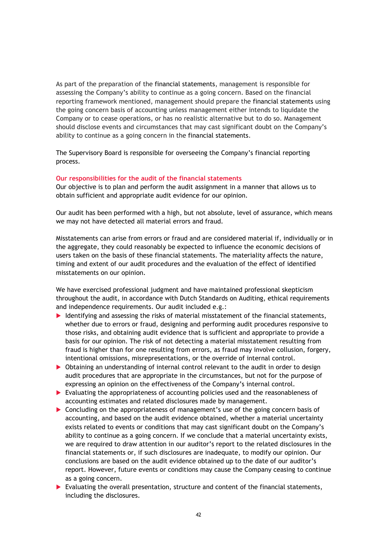As part of the preparation of the financial statements, management is responsible for assessing the Company's ability to continue as a going concern. Based on the financial reporting framework mentioned, management should prepare the financial statements using the going concern basis of accounting unless management either intends to liquidate the Company or to cease operations, or has no realistic alternative but to do so. Management should disclose events and circumstances that may cast significant doubt on the Company's ability to continue as a going concern in the financial statements.

The Supervisory Board is responsible for overseeing the Company's financial reporting process.

#### **Our responsibilities for the audit of the financial statements**

Our objective is to plan and perform the audit assignment in a manner that allows us to obtain sufficient and appropriate audit evidence for our opinion.

Our audit has been performed with a high, but not absolute, level of assurance, which means we may not have detected all material errors and fraud.

Misstatements can arise from errors or fraud and are considered material if, individually or in the aggregate, they could reasonably be expected to influence the economic decisions of users taken on the basis of these financial statements. The materiality affects the nature, timing and extent of our audit procedures and the evaluation of the effect of identified misstatements on our opinion.

We have exercised professional judgment and have maintained professional skepticism throughout the audit, in accordance with Dutch Standards on Auditing, ethical requirements and independence requirements. Our audit included e.g.:

- $\blacktriangleright$  Identifying and assessing the risks of material misstatement of the financial statements, whether due to errors or fraud, designing and performing audit procedures responsive to those risks, and obtaining audit evidence that is sufficient and appropriate to provide a basis for our opinion. The risk of not detecting a material misstatement resulting from fraud is higher than for one resulting from errors, as fraud may involve collusion, forgery, intentional omissions, misrepresentations, or the override of internal control.
- Obtaining an understanding of internal control relevant to the audit in order to design audit procedures that are appropriate in the circumstances, but not for the purpose of expressing an opinion on the effectiveness of the Company's internal control.
- Evaluating the appropriateness of accounting policies used and the reasonableness of accounting estimates and related disclosures made by management.
- Concluding on the appropriateness of management's use of the going concern basis of accounting, and based on the audit evidence obtained, whether a material uncertainty exists related to events or conditions that may cast significant doubt on the Company's ability to continue as a going concern. If we conclude that a material uncertainty exists, we are required to draw attention in our auditor's report to the related disclosures in the financial statements or, if such disclosures are inadequate, to modify our opinion. Our conclusions are based on the audit evidence obtained up to the date of our auditor's report. However, future events or conditions may cause the Company ceasing to continue as a going concern.
- $\triangleright$  Evaluating the overall presentation, structure and content of the financial statements, including the disclosures.